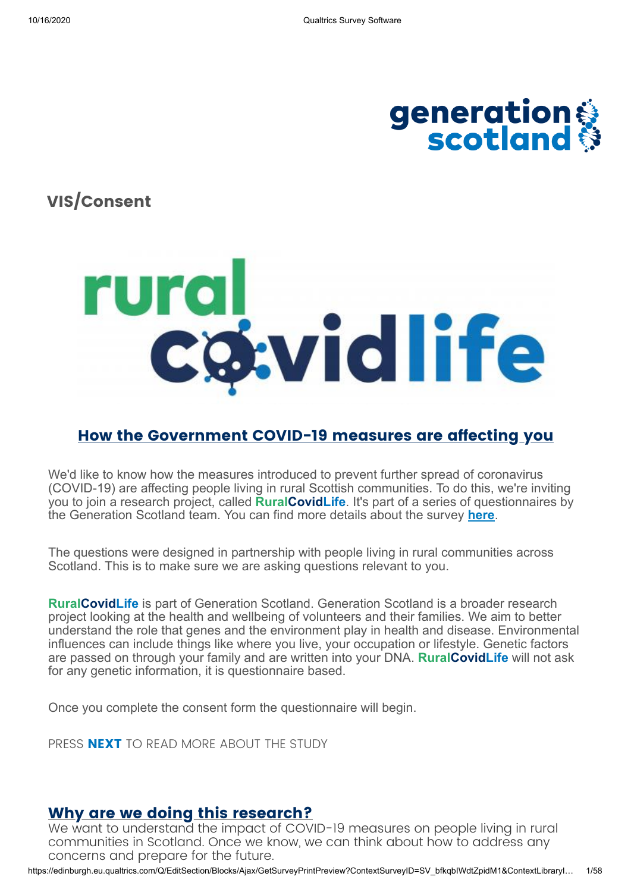

**VIS/Consent**



### **How the Government COVID-19 measures are affecting you**

We'd like to know how the measures introduced to prevent further spread of coronavirus (COVID-19) are affecting people living in rural Scottish communities. To do this, we're inviting you to join a research project, called **RuralCovidLife**. It's part of a series of questionnaires by the Generation Scotland team. You can find more details about the survey **here**.

The questions were designed in partnership with people living in rural communities across Scotland. This is to make sure we are asking questions relevant to you.

**RuralCovidLife** is part of Generation Scotland. Generation Scotland is a broader research project looking at the health and wellbeing of volunteers and their families. We aim to better understand the role that genes and the environment play in health and disease. Environmental influences can include things like where you live, your occupation or lifestyle. Genetic factors are passed on through your family and are written into your DNA. **RuralCovidLife** will not ask for any genetic information, it is questionnaire based.

Once you complete the consent form the questionnaire will begin.

PRESS **NEXT** TO READ MORE ABOUT THE STUDY

### **Why are we doing this research?**

We want to understand the impact of COVID-19 measures on people living in rural communities in Scotland. Once we know, we can think about how to address any concerns and prepare for the future.

https://edinburgh.eu.qualtrics.com/Q/EditSection/Blocks/Ajax/GetSurveyPrintPreview?ContextSurveyID=SV\_bfkqbIWdtZpidM1&ContextLibraryI… 1/58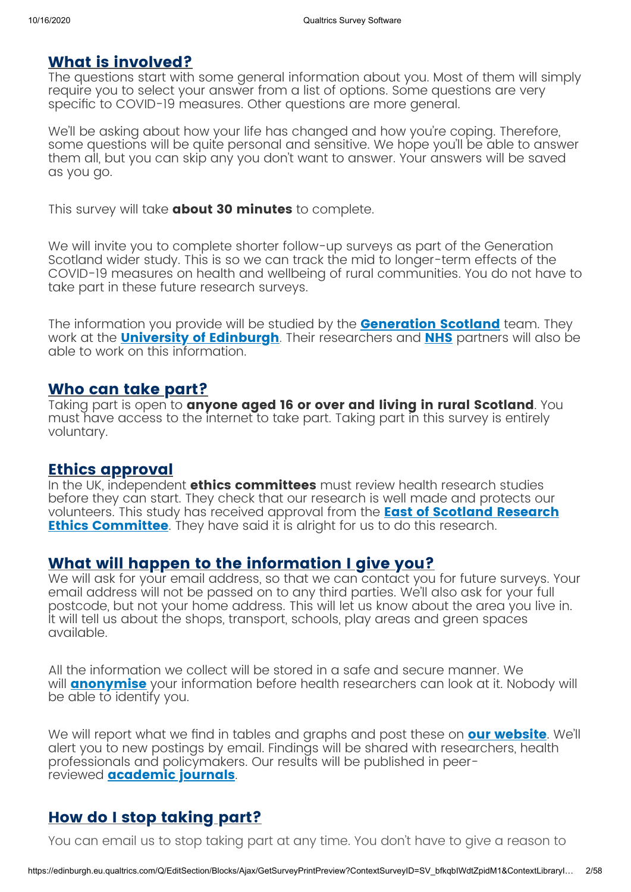### **What is involved?**

The questions start with some general information about you. Most of them will simply require you to select your answer from a list of options. Some questions are very specific to COVID-19 measures. Other questions are more general.

We'll be asking about how your life has changed and how you're coping. Therefore, some questions will be quite personal and sensitive. We hope you'll be able to answer them all, but you can skip any you don't want to answer. Your answers will be saved as you go.

This survey will take **about 30 minutes** to complete.

We will invite you to complete shorter follow-up surveys as part of the Generation Scotland wider study. This is so we can track the mid to longer-term effects of the COVID-19 measures on health and wellbeing of rural communities. You do not have to take part in these future research surveys.

The information you provide will be studied by the **Generation Scotland** team. They work at the **University of Edinburgh**. Their researchers and **NHS** partners will also be able to work on this information.

### **Who can take part?**

Taking part is open to **anyone aged 16 or over and living in rural Scotland**. You must have access to the internet to take part. Taking part in this survey is entirely voluntary.

### **Ethics approval**

In the UK, independent **ethics committees** must review health research studies before they can start. They check that our research is well made and protects our volunteers. This study has received approval from the **East of Scotland Research Ethics Committee**. They have said it is alright for us to do this research.

### **What will happen to the information I give you?**

We will ask for your email address, so that we can contact you for future surveys. Your email address will not be passed on to any third parties. We'll also ask for your full postcode, but not your home address. This will let us know about the area you live in. It will tell us about the shops, transport, schools, play areas and green spaces available.

All the information we collect will be stored in a safe and secure manner. We will **anonymise** your information before health researchers can look at it. Nobody will be able to identify you.

We will report what we find in tables and graphs and post these on **our website**. We'll alert you to new postings by email. Findings will be shared with researchers, health professionals and policymakers. Our results will be published in peerreviewed **academic journals**.

### **How do I stop taking part?**

You can email us to stop taking part at any time. You don't have to give a reason to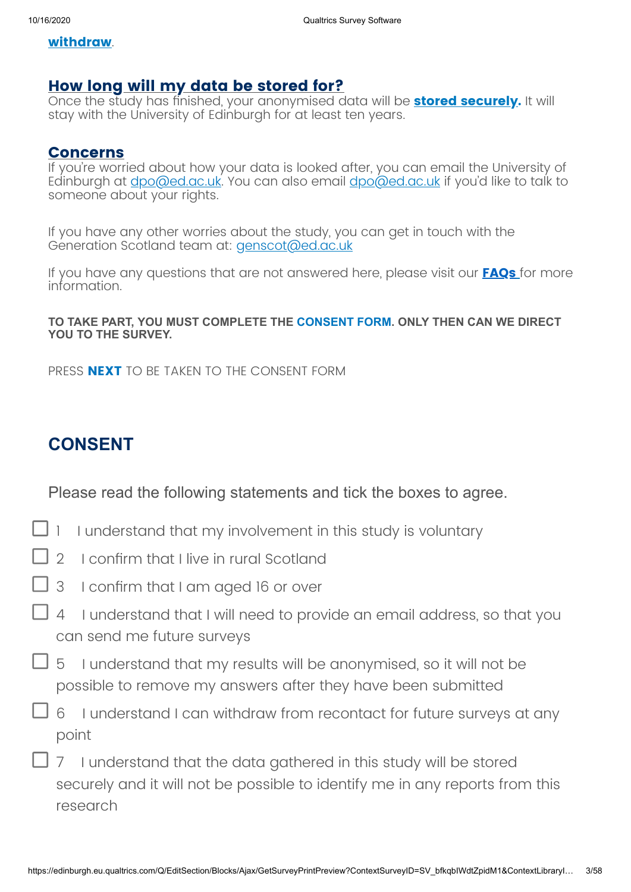### **withdraw**.

### **How long will my data be stored for?**

Once the study has finished, your anonymised data will be **stored securely.** It will stay with the University of Edinburgh for at least ten years.

### **Concerns**

If you're worried about how your data is looked after, you can email the University of Edinburgh at <u>dpo@ed.ac.uk</u>. You can also email **dpo@ed.ac.uk** if you'd like to talk to someone about your rights.

If you have any other worries about the study, you can get in touch with the Generation Scotland team at: *genscot@ed.ac.uk* 

If you have any questions that are not answered here, please visit our **FAQs** for more information.

### **TO TAKE PART, YOU MUST COMPLETE THE CONSENT FORM. ONLY THEN CAN WE DIRECT YOU TO THE SURVEY.**

PRESS **NEXT** TO BE TAKEN TO THE CONSENT FORM

# **CONSENT**

Please read the following statements and tick the boxes to agree.

- $\Box$  1 I understand that my involvement in this study is voluntary
- 2 I confirm that I live in rural Scotland
- 3 I confirm that I am aged 16 or over
- 4 I understand that I will need to provide an email address, so that you can send me future surveys
- $\Box$  5 I understand that my results will be anonymised, so it will not be possible to remove my answers after they have been submitted
- 6 I understand I can withdraw from recontact for future surveys at any point
	- 7 I understand that the data gathered in this study will be stored securely and it will not be possible to identify me in any reports from this research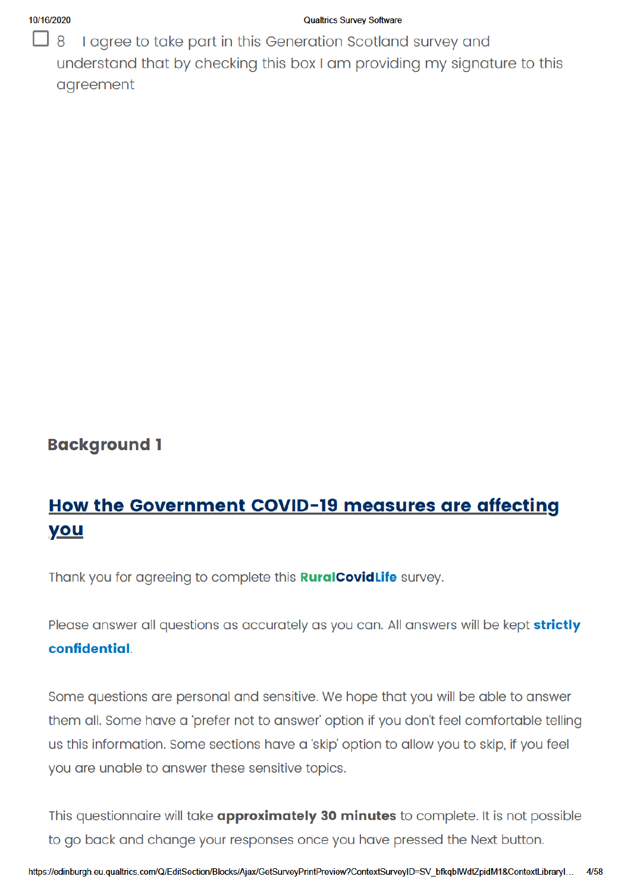### 10/16/2020

### **Qualtrics Survey Software**

- 1  $\mathsf{B}$ I agree to take part in this Generation Scotland survey and understand that by checking this box I am providing my signature to this agreement

### **Background 1**

# How the Government COVID-19 measures are affecting you

Thank you for agreeing to complete this **RuralCovidLife** survey.

Please answer all questions as accurately as you can. All answers will be kept strictly confidential.

Some questions are personal and sensitive. We hope that you will be able to answer them all. Some have a 'prefer not to answer' option if you don't feel comfortable telling us this information. Some sections have a 'skip' option to allow you to skip, if you feel you are unable to answer these sensitive topics.

This questionnaire will take approximately 30 minutes to complete. It is not possible to go back and change your responses once you have pressed the Next button.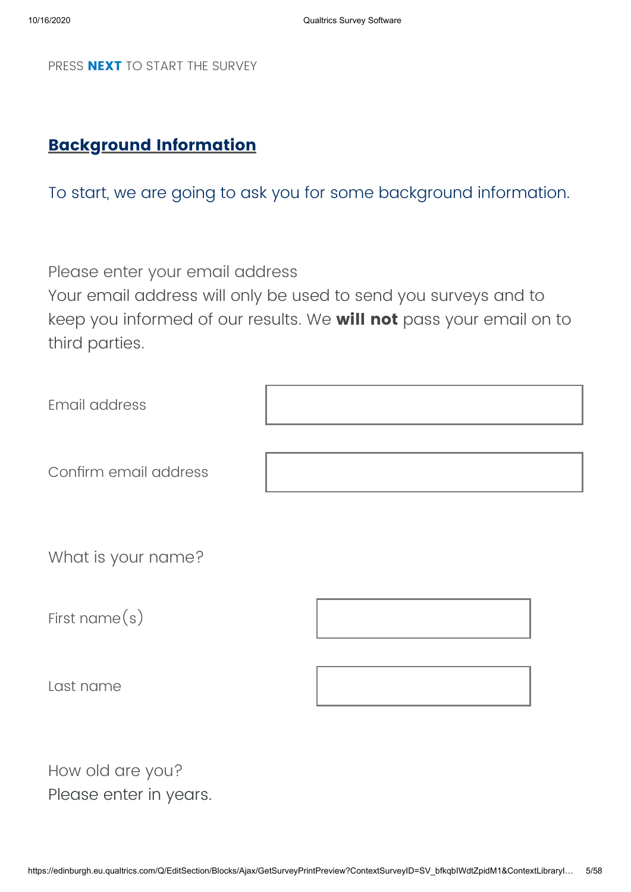PRESS **NEXT** TO START THE SURVEY

### **Background Information**

To start, we are going to ask you for some background information.

Please enter your email address

Your email address will only be used to send you surveys and to keep you informed of our results. We **will not** pass your email on to third parties.

| Email address         |  |
|-----------------------|--|
| Confirm email address |  |
| What is your name?    |  |

First name(s)

Last name



How old are you? Please enter in years.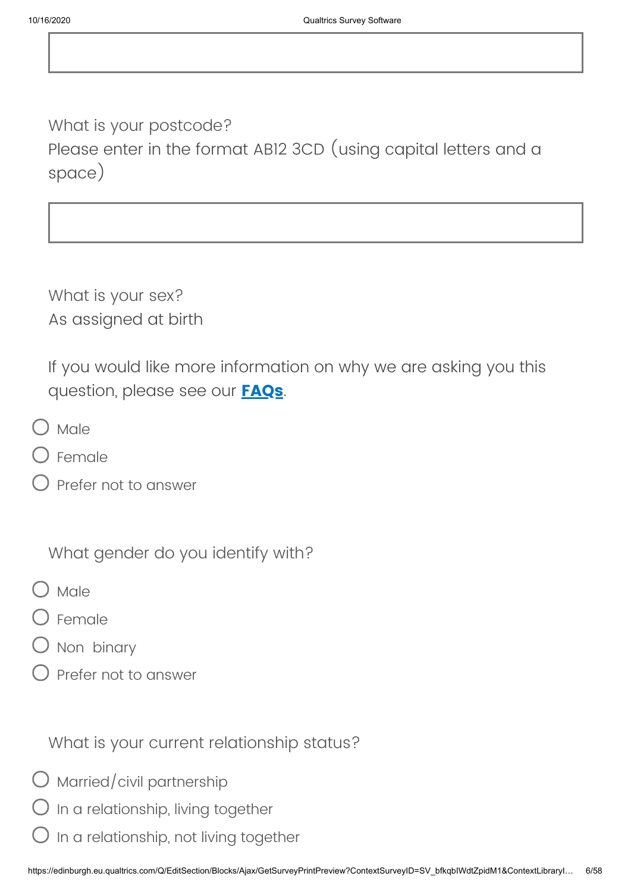What is your postcode? Please enter in the format AB12 3CD (using capital letters and a space)

What is your sex? As assigned at birth

If you would like more information on why we are asking you this question, please see our **FAQs**.

- ) Male
- Female
- Prefer not to answer

What gender do you identify with?

- Male
- Female
- ) Non binary
- Prefer not to answer

What is your current relationship status?

- $\bigcirc$  Married/civil partnership
- $O$  In a relationship, living together
- In a relationship, not living together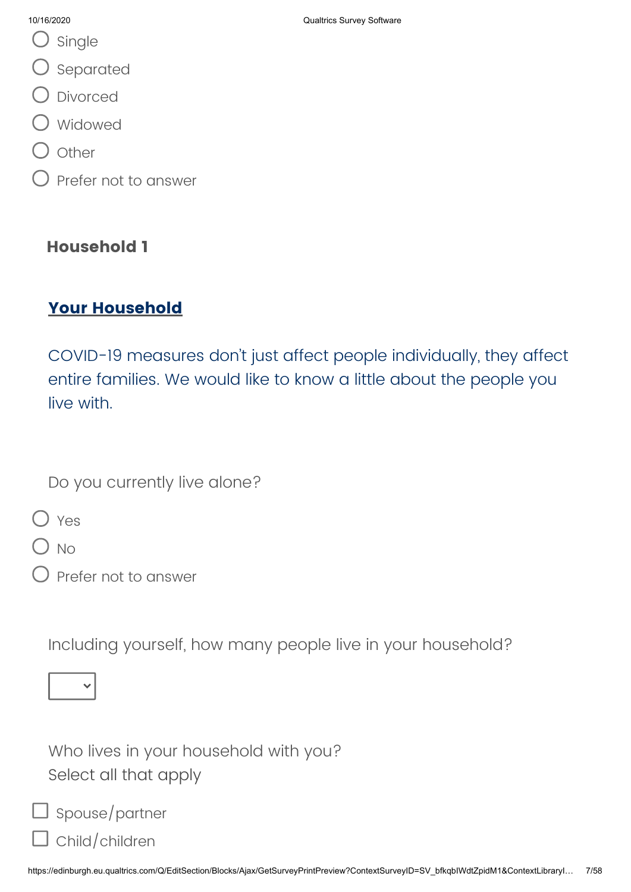- O single
- O separated
- O Divorced
- Widowed
- l other
- Prefer not to answer

### **Household 1**

### **Your Household**

COVID-19 measures don't just affect people individually, they affect entire families. We would like to know a little about the people you live with.

Do you currently live alone?

O Yes

) No

Prefer not to answer

Including yourself, how many people live in your household?

|--|--|--|

Who lives in your household with you? Select all that apply

| $\Box$ Spouse/partner |  |
|-----------------------|--|
|-----------------------|--|

Г

Child/children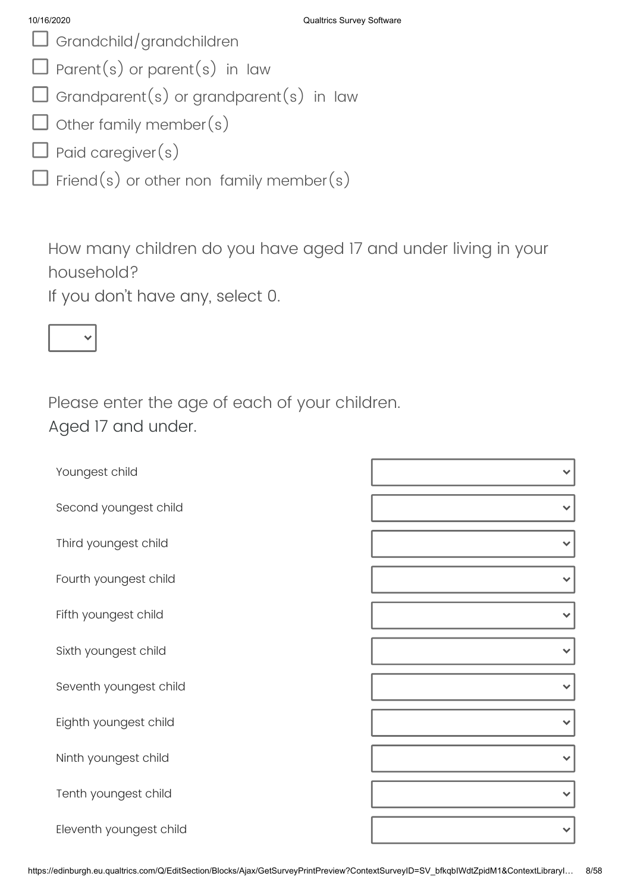- Grandchild/grandchildren
- $\Box$  Parent(s) or parent(s) in law
- $\Box$  Grandparent(s) or grandparent(s) in law
- $\Box$  other family member(s)
- $\overline{\mathsf{J}}$  Paid caregiver  $(\mathrm{s})$
- $\Box$  Friend(s) or other non family member(s)

How many children do you have aged 17 and under living in your household?

If you don't have any, select 0.



Please enter the age of each of your children. Aged 17 and under.

| Youngest child          |              |
|-------------------------|--------------|
| Second youngest child   |              |
| Third youngest child    | $\checkmark$ |
| Fourth youngest child   |              |
| Fifth youngest child    | $\checkmark$ |
| Sixth youngest child    |              |
| Seventh youngest child  |              |
| Eighth youngest child   |              |
| Ninth youngest child    | $\checkmark$ |
| Tenth youngest child    |              |
| Eleventh youngest child |              |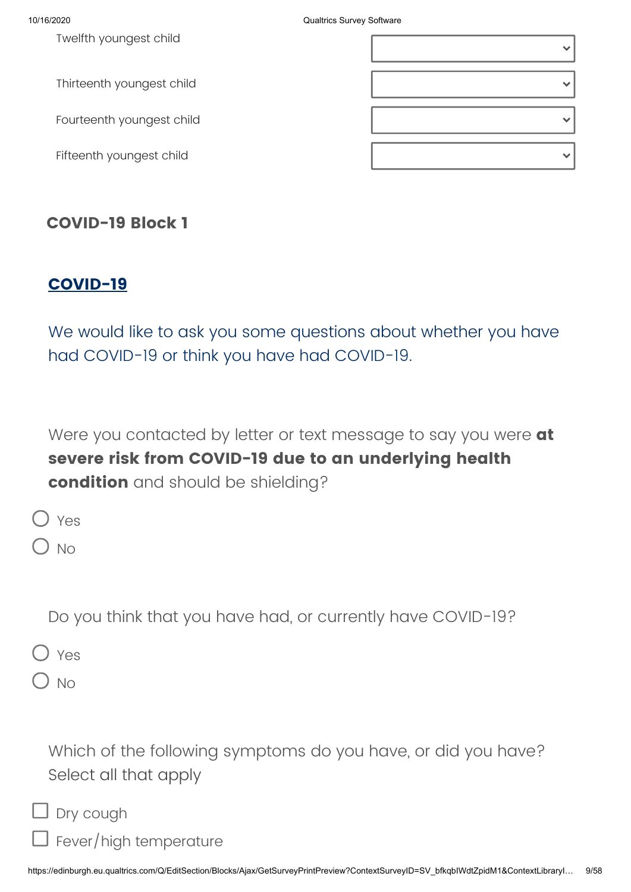10/16/2020 Qualtrics Survey Software

| Twelfth youngest child    |  |
|---------------------------|--|
| Thirteenth youngest child |  |
| Fourteenth youngest child |  |
| Fifteenth youngest child  |  |

### **COVID-19 Block 1**

### **COVID-19**

We would like to ask you some questions about whether you have had COVID-19 or think you have had COVID-19.

Were you contacted by letter or text message to say you were **at severe risk from COVID-19 due to an underlying health condition** and should be shielding?

 $\bigcirc$  No

Do you think that you have had, or currently have COVID-19?

Yes

) No

Г

Which of the following symptoms do you have, or did you have? Select all that apply

| $\Box$ Dry cough |  |
|------------------|--|
|------------------|--|

Fever/high temperature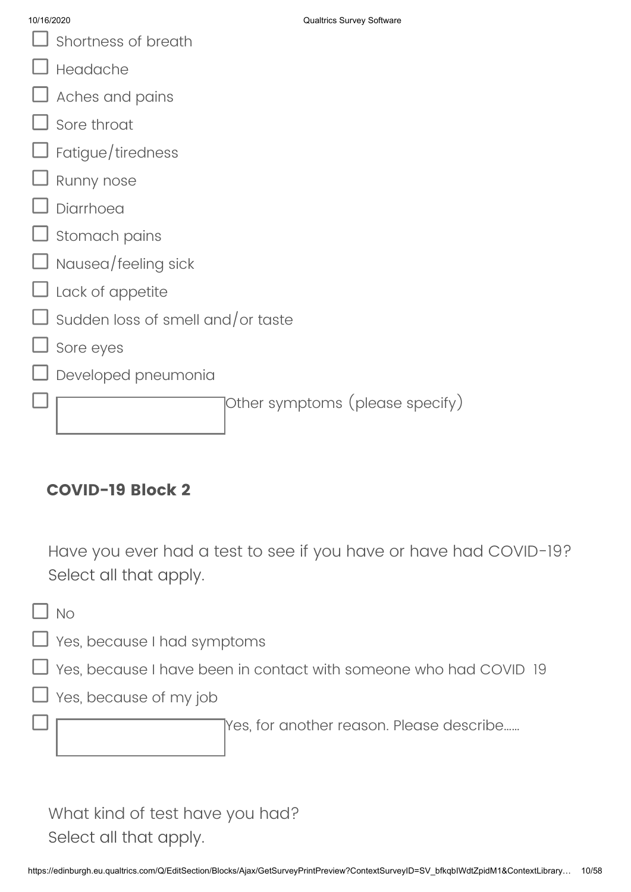- $\Box$  Shortness of breath
- Headache
- Aches and pains
- Sore throat
- Fatigue/tiredness
- Runny nose
- Diarrhoea
- Stomach pains
- Nausea/feeling sick
- Lack of appetite
- Sudden loss of smell and/or taste
- Sore eyes
	- Developed pneumonia

Other symptoms (please specify)

# **COVID-19 Block 2**

Have you ever had a test to see if you have or have had COVID-19? Select all that apply.

 $\exists$  No

Yes, because I had symptoms

- Yes, because I have been in contact with someone who had COVID 19
- Yes, because of my job

Yes, for another reason. Please describe……

What kind of test have you had? Select all that apply.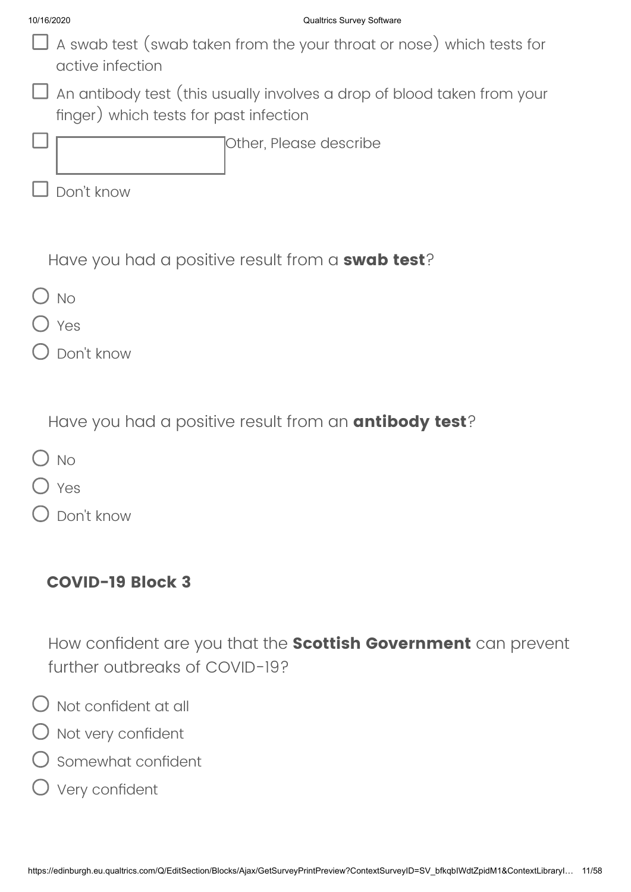- $\Box$  A swab test (swab taken from the your throat or nose) which tests for active infection
- $\Box$  An antibody test (this usually involves a drop of blood taken from your finger) which tests for past infection

Other, Please describe

Don't know

Have you had a positive result from a **swab test**?

- $\bigcap$  No
- Yes
- Don't know

Have you had a positive result from an **antibody test**?

- $\bigcap$  No
- Yes
- Don't know

### **COVID-19 Block 3**

How confident are you that the **Scottish Government** can prevent further outbreaks of COVID-19?

- $\bigcirc$  Not confident at all
- O Not very confident
- Somewhat confident
- Very confident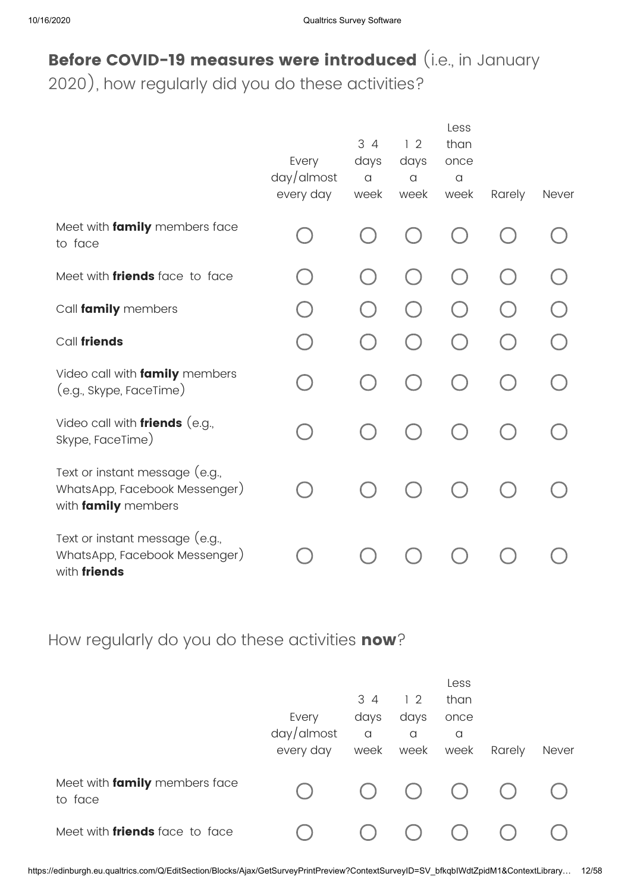# **Before COVID-19 measures were introduced** (i.e., in January

2020), how regularly did you do these activities?

|                                                                                        | Every<br>$day/d$ most<br>every day | 34<br>days<br>$\alpha$<br>week | 12<br>days<br>$\alpha$<br>week | Less<br>than<br>once<br>$\alpha$<br>week | Rarely | Never |
|----------------------------------------------------------------------------------------|------------------------------------|--------------------------------|--------------------------------|------------------------------------------|--------|-------|
| Meet with family members face<br>to face                                               |                                    |                                |                                |                                          |        |       |
| Meet with <i>friends</i> face to face                                                  |                                    |                                |                                |                                          |        |       |
| Call family members                                                                    |                                    |                                |                                |                                          |        |       |
| Call friends                                                                           |                                    |                                |                                |                                          |        |       |
| Video call with family members<br>(e.g., Skype, FaceTime)                              |                                    |                                |                                |                                          |        |       |
| Video call with <i>friends</i> (e.g.,<br>Skype, FaceTime)                              |                                    |                                |                                |                                          |        |       |
| Text or instant message (e.g.,<br>WhatsApp, Facebook Messenger)<br>with family members |                                    |                                |                                |                                          |        |       |
| Text or instant message (e.g.,<br>WhatsApp, Facebook Messenger)<br>with friends        |                                    |                                |                                |                                          |        |       |

How regularly do you do these activities **now**?

|                                          | Every<br>day/almost<br>every day | 34<br>days<br>$\alpha$<br>week | 12<br>days<br>a<br>week | Less<br>than<br>once<br>a<br>week | Rarely | <b>Never</b> |
|------------------------------------------|----------------------------------|--------------------------------|-------------------------|-----------------------------------|--------|--------------|
| Meet with family members face<br>to face |                                  | $($ )                          | $\left( \quad \right)$  | $\left( \quad \right)$            |        |              |
| Meet with <i>friends</i> face to face    |                                  |                                |                         |                                   |        |              |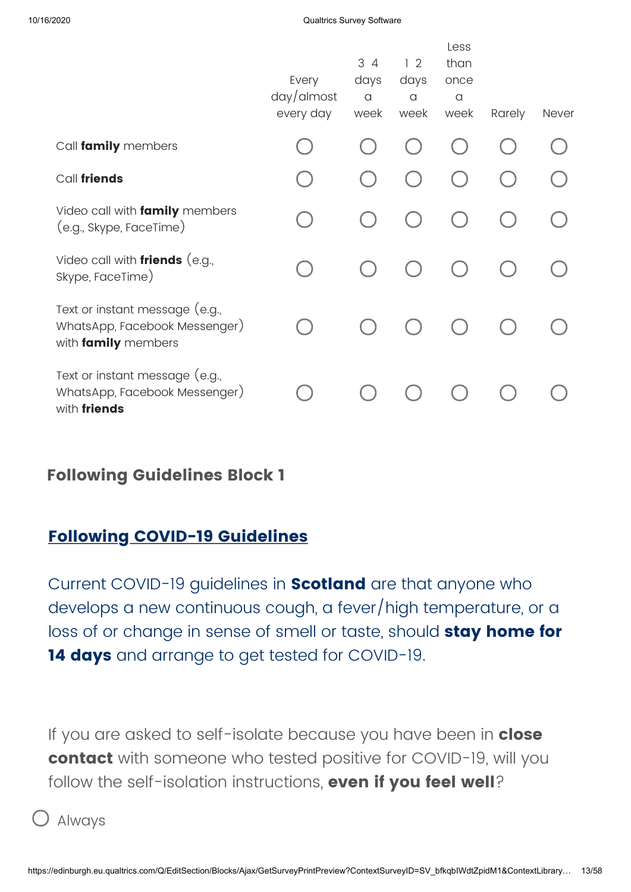|                                                                                        | Every<br>$day/d$ most<br>every day | 3 4<br>days<br>$\alpha$<br>week | 12<br>days<br>$\alpha$<br>week | Less<br>than<br>once<br>a<br>week | Rarely | <b>Never</b> |
|----------------------------------------------------------------------------------------|------------------------------------|---------------------------------|--------------------------------|-----------------------------------|--------|--------------|
| Call family members                                                                    |                                    |                                 |                                |                                   |        |              |
| Call friends                                                                           |                                    |                                 |                                |                                   |        |              |
| Video call with family members<br>(e.g., Skype, FaceTime)                              |                                    |                                 |                                |                                   |        |              |
| Video call with <i>friends</i> (e.g.,<br>Skype, FaceTime)                              |                                    |                                 |                                |                                   |        |              |
| Text or instant message (e.g.,<br>WhatsApp, Facebook Messenger)<br>with family members |                                    |                                 |                                |                                   |        |              |
| Text or instant message (e.g.,<br>WhatsApp, Facebook Messenger)<br>with friends        |                                    |                                 |                                |                                   |        |              |

### **Following Guidelines Block 1**

### **Following COVID-19 Guidelines**

Current COVID-19 guidelines in **Scotland** are that anyone who develops a new continuous cough, a fever/high temperature, or a loss of or change in sense of smell or taste, should **stay home for 14 days** and arrange to get tested for COVID-19.

If you are asked to self-isolate because you have been in **close contact** with someone who tested positive for COVID-19, will you follow the self-isolation instructions, **even if you feel well**?

Always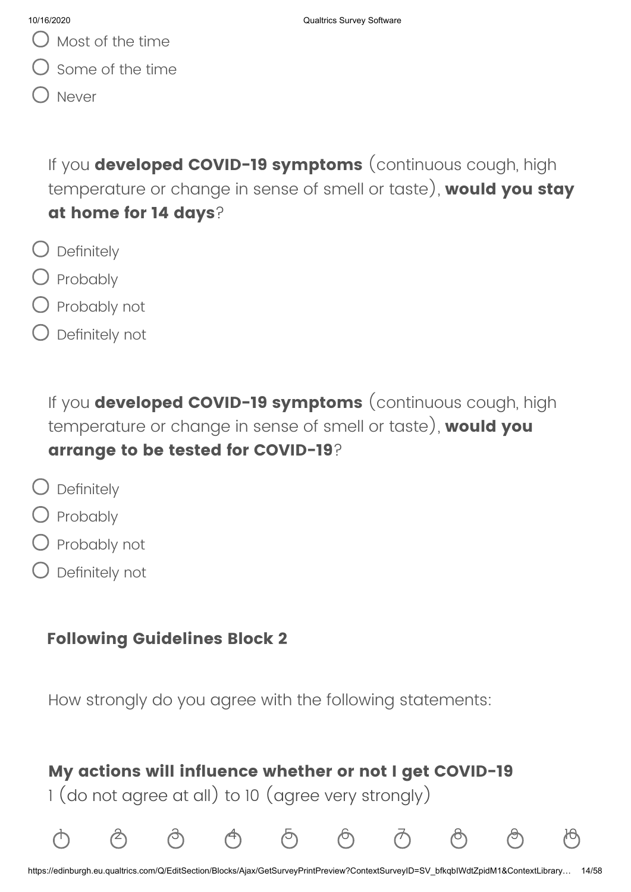Some of the time

Never

If you **developed COVID-19 symptoms** (continuous cough, high temperature or change in sense of smell or taste), **would you stay at home for 14 days**?

- $\bigcirc$  Definitely
- O Probably
- Probably not
- Definitely not

If you **developed COVID-19 symptoms** (continuous cough, high temperature or change in sense of smell or taste), **would you arrange to be tested for COVID-19**?

- $\bigcirc$  Definitely
- Probably
- Probably not
- Definitely not

# **Following Guidelines Block 2**

How strongly do you agree with the following statements:

# **My actions will influence whether or not I get COVID-19**

1 (do not agree at all) to 10 (agree very strongly)

1 2 3 4 5 6 7 8 9 10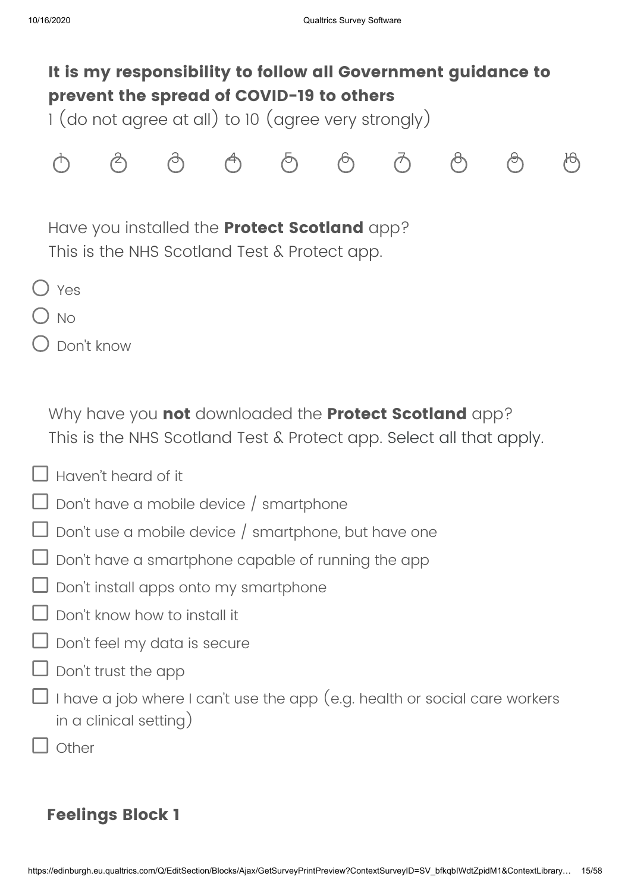# **It is my responsibility to follow all Government guidance to prevent the spread of COVID-19 to others**

1 (do not agree at all) to 10 (agree very strongly)



Have you installed the **Protect Scotland** app? This is the NHS Scotland Test & Protect app.

- O Yes
- $)$  No
- Don't know

Why have you **not** downloaded the **Protect Scotland** app? This is the NHS Scotland Test & Protect app. Select all that apply.

- $\Box$  Haven't heard of it
- $\Box$  Don't have a mobile device / smartphone
- $\Box$  Don't use a mobile device / smartphone, but have one
- $\Box$  Don't have a smartphone capable of running the app
- Don't install apps onto my smartphone
- Don't know how to install it
- $\Box$  Don't feel my data is secure
- $\Box$  Don't trust the app
- $\Box$  I have a job where I can't use the app (e.g. health or social care workers in a clinical setting)
	- Other

### **Feelings Block 1**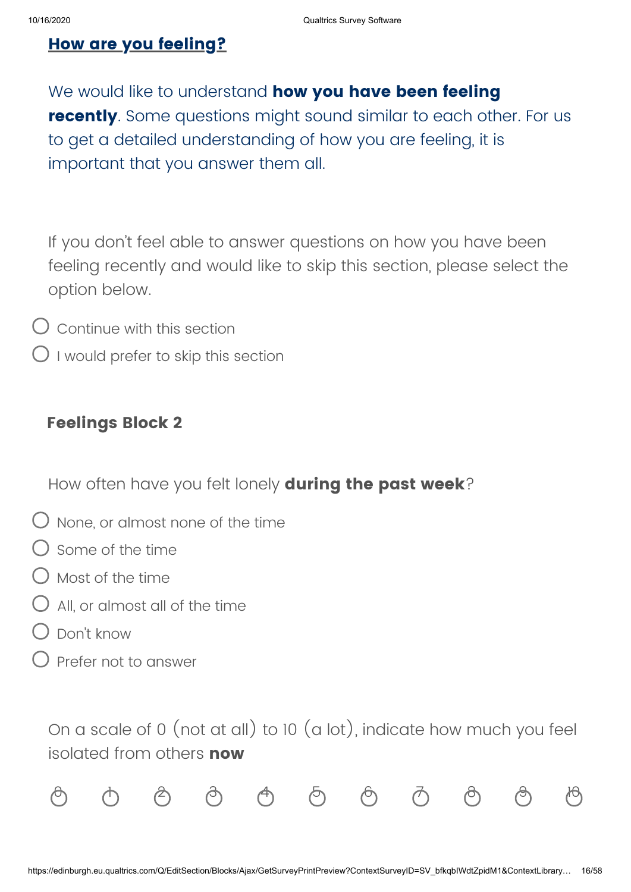### **How are you feeling?**

We would like to understand **how you have been feeling recently**. Some questions might sound similar to each other. For us to get a detailed understanding of how you are feeling, it is important that you answer them all.

If you don't feel able to answer questions on how you have been feeling recently and would like to skip this section, please select the option below.

- $\overline{O}$  Continue with this section
- $\bigcirc$  I would prefer to skip this section

### **Feelings Block 2**

How often have you felt lonely **during the past week**?

- $\bigcirc$  None, or almost none of the time
- Some of the time
- $\bigcirc$  Most of the time
- $\bigcirc$  All or almost all of the time
- Don't know
- Prefer not to answer

On a scale of 0 (not at all) to 10 (a lot), indicate how much you feel isolated from others **now**

|  |  |  | $\circledcirc$ $\circledcirc$ $\circledcirc$ $\circledcirc$ $\circledcirc$ $\circledcirc$ $\circledcirc$ $\circledcirc$ $\circledcirc$ |  |  |
|--|--|--|----------------------------------------------------------------------------------------------------------------------------------------|--|--|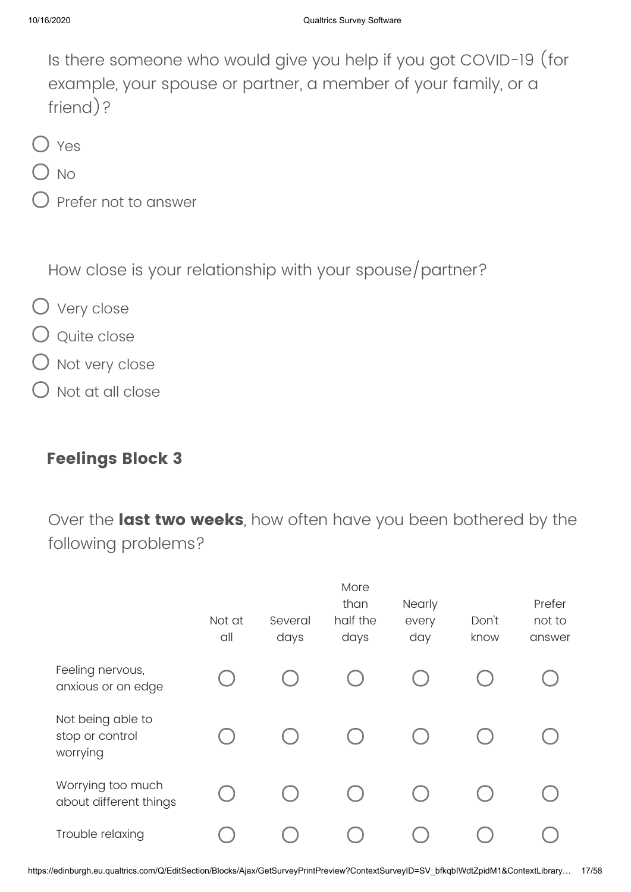Is there someone who would give you help if you got COVID-19 (for example, your spouse or partner, a member of your family, or a friend)?

- O Yes
- $\sum_{N\cap\mathcal{N}}$
- Prefer not to answer

How close is your relationship with your spouse/partner?

- O Very close
- Q Quite close
- Not very close
- Not at all close

### **Feelings Block 3**

Over the **last two weeks**, how often have you been bothered by the following problems?

|                                                  | Not at<br>all | Several<br>days | More<br>than<br>half the<br>days | Nearly<br>every<br>day | Don't<br>know | Prefer<br>not to<br>answer |
|--------------------------------------------------|---------------|-----------------|----------------------------------|------------------------|---------------|----------------------------|
| Feeling nervous,<br>anxious or on edge           |               |                 |                                  |                        |               |                            |
| Not being able to<br>stop or control<br>worrying |               |                 |                                  |                        |               |                            |
| Worrying too much<br>about different things      |               |                 |                                  |                        |               |                            |
| Trouble relaxing                                 |               |                 |                                  |                        |               |                            |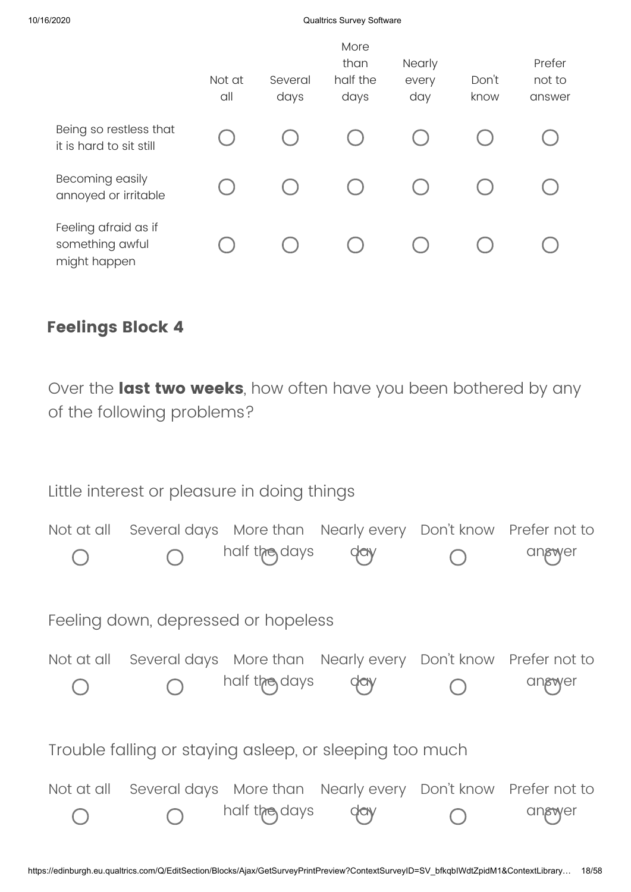### 10/16/2020 Qualtrics Survey Software

|                                                         | Not at<br>all | Several<br>days | More<br>than<br>half the<br>days | <b>Nearly</b><br>every<br>day | Don't<br>know | Prefer<br>not to<br>answer |
|---------------------------------------------------------|---------------|-----------------|----------------------------------|-------------------------------|---------------|----------------------------|
| Being so restless that<br>it is hard to sit still       |               |                 |                                  |                               |               |                            |
| Becoming easily<br>annoyed or irritable                 |               |                 |                                  |                               |               |                            |
| Feeling afraid as if<br>something awful<br>might happen |               |                 |                                  |                               |               |                            |

### **Feelings Block 4**

Over the **last two weeks**, how often have you been bothered by any of the following problems?

| Little interest or pleasure in doing things |                                     |               |                                                                                |  |        |  |
|---------------------------------------------|-------------------------------------|---------------|--------------------------------------------------------------------------------|--|--------|--|
| Not at all                                  |                                     | half the days | Several days More than Nearly every Don't know Prefer not to                   |  | angwer |  |
|                                             | Feeling down, depressed or hopeless |               |                                                                                |  |        |  |
|                                             |                                     | half the days | Not at all Several days More than Nearly every Don't know Prefer not to<br>day |  | angwer |  |
|                                             |                                     |               | Trouble falling or staying asleep, or sleeping too much                        |  |        |  |
| Not at all                                  |                                     | half the days | Several days More than Nearly every Don't know Prefer not to                   |  | angwer |  |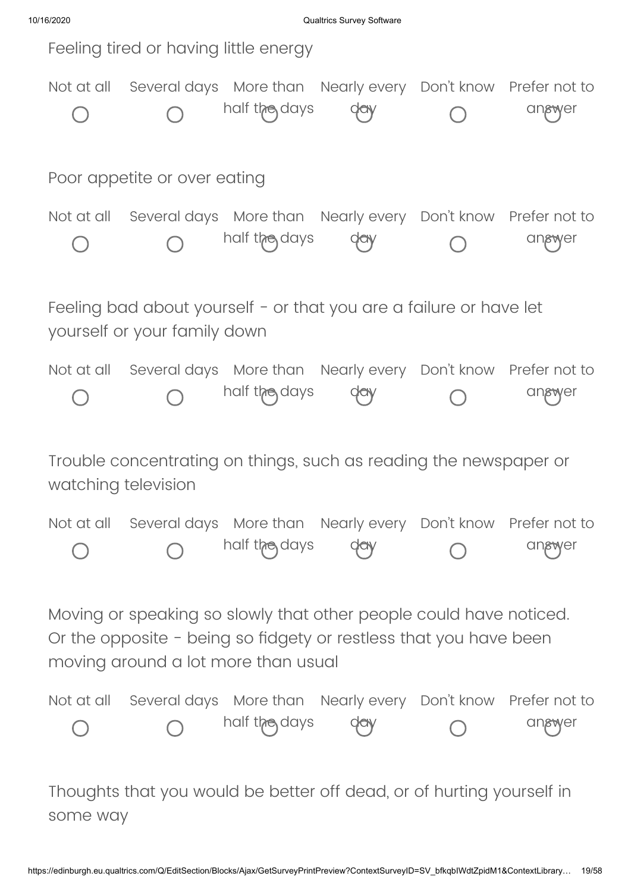10/16/2020 Qualtrics Survey Software

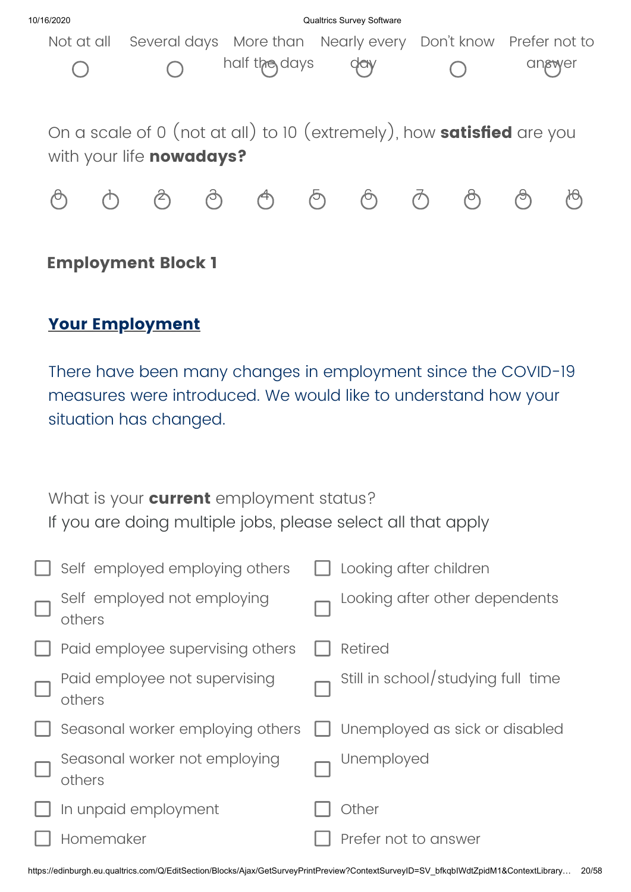

### **Employment Block 1**

## **Your Employment**

There have been many changes in employment since the COVID-19 measures were introduced. We would like to understand how your situation has changed.

| What is your <b>current</b> employment status?               |  |
|--------------------------------------------------------------|--|
| If you are doing multiple jobs, please select all that apply |  |

|        | $\Box$ Self employed employing others   | Looking after children             |
|--------|-----------------------------------------|------------------------------------|
| $\Box$ | Self employed not employing<br>others   | Looking after other dependents     |
| Ш      | Paid employee supervising others        | <b>Retired</b>                     |
| $\Box$ | Paid employee not supervising<br>others | Still in school/studying full time |
|        | $\Box$ Seasonal worker employing others | Unemployed as sick or disabled     |
| $\Box$ | Seasonal worker not employing<br>others | Unemployed                         |
|        | In unpaid employment                    | Other                              |
|        | Homemaker                               | Prefer not to answer               |
|        |                                         |                                    |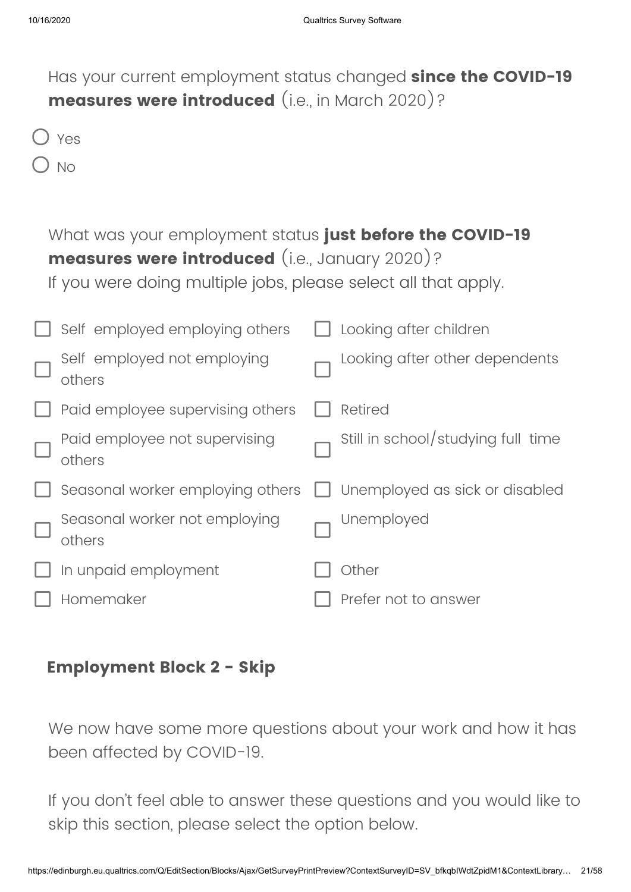| Has your current employment status changed <b>since the COVID-19</b><br>measures were introduced (i.e., in March 2020)?                                                             |                                    |
|-------------------------------------------------------------------------------------------------------------------------------------------------------------------------------------|------------------------------------|
| Yes                                                                                                                                                                                 |                                    |
| <b>No</b>                                                                                                                                                                           |                                    |
| What was your employment status just before the COVID-19<br><b>measures were introduced</b> (i.e., January 2020)?<br>If you were doing multiple jobs, please select all that apply. |                                    |
| Self employed employing others                                                                                                                                                      | Looking after children             |
| Self employed not employing<br>others                                                                                                                                               | Looking after other dependents     |
| Paid employee supervising others                                                                                                                                                    | <b>Retired</b>                     |
| Paid employee not supervising<br>others                                                                                                                                             | Still in school/studying full time |
| Seasonal worker employing others                                                                                                                                                    | Unemployed as sick or disabled     |
| Seasonal worker not employing<br>others                                                                                                                                             | Unemployed                         |
| In unpaid employment                                                                                                                                                                | Other                              |
| Homemaker                                                                                                                                                                           | Prefer not to answer               |

### **Employment Block 2 - Skip**

We now have some more questions about your work and how it has been affected by COVID-19.

If you don't feel able to answer these questions and you would like to skip this section, please select the option below.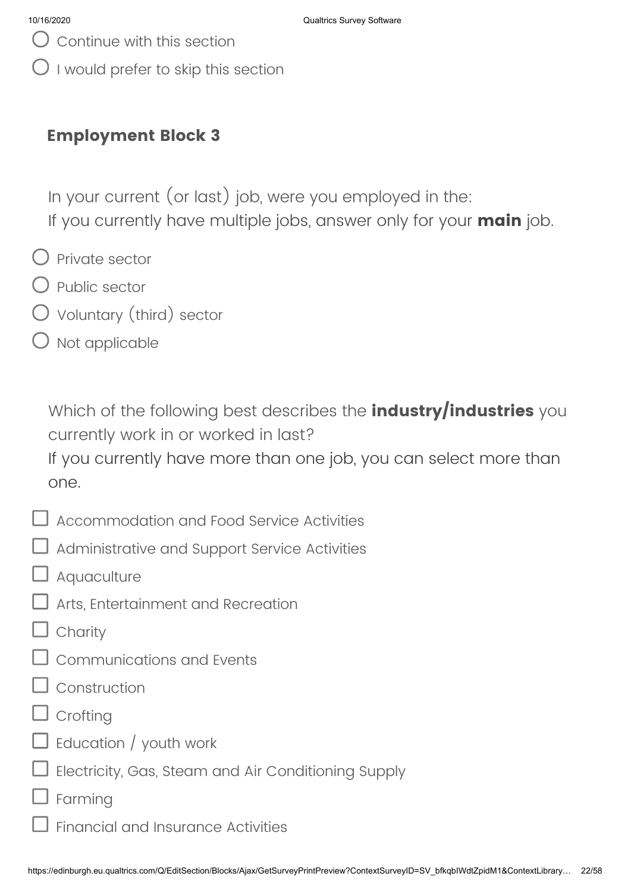- Continue with this section
- I would prefer to skip this section

### **Employment Block 3**

In your current (or last) job, were you employed in the: If you currently have multiple jobs, answer only for your **main** job.

- $\bigcirc$  Private sector
- $\bigcirc$  Public sector
- Voluntary (third) sector
- $\bigcirc$  Not applicable

Which of the following best describes the **industry/industries** you currently work in or worked in last?

If you currently have more than one job, you can select more than one.

- $\Box$  Accommodation and Food Service Activities
- Administrative and Support Service Activities
- **J** Aquaculture
- Arts, Entertainment and Recreation
- $\mathsf{\mathsf{J}}$  Charity
- Communications and Events
- Construction
- $\mathsf I$  Croftina
- $\sf J$  Education / youth work
- Electricity, Gas, Steam and Air Conditioning Supply
- Farming
	- Financial and Insurance Activities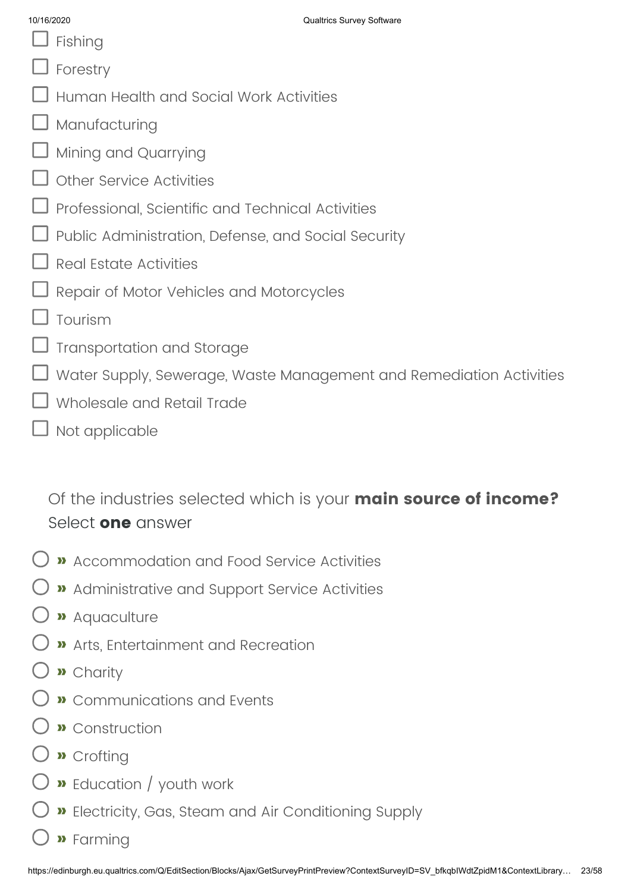- $\Box$  Fishing
- Forestry
- Human Health and Social Work Activities
- Manufacturing
- Mining and Quarrying
- Other Service Activities
- Professional, Scientific and Technical Activities
- Public Administration, Defense, and Social Security
- Real Estate Activities
- Repair of Motor Vehicles and Motorcycles
- Tourism
- Transportation and Storage
- Water Supply, Sewerage, Waste Management and Remediation Activities
- Wholesale and Retail Trade
- $\overline{\mathsf{J}}$  Not applicable

Of the industries selected which is your **main source of income?** Select **one** answer

- **»** Accommodation and Food Service Activities
- **»** Administrative and Support Service Activities
- **»** Aquaculture
- **»** Arts, Entertainment and Recreation
- **»** Charity
- **»** Communications and Events
- **»** Construction
- **»** Crofting
- **»** Education / youth work
- **»** Electricity, Gas, Steam and Air Conditioning Supply
- **»** Farming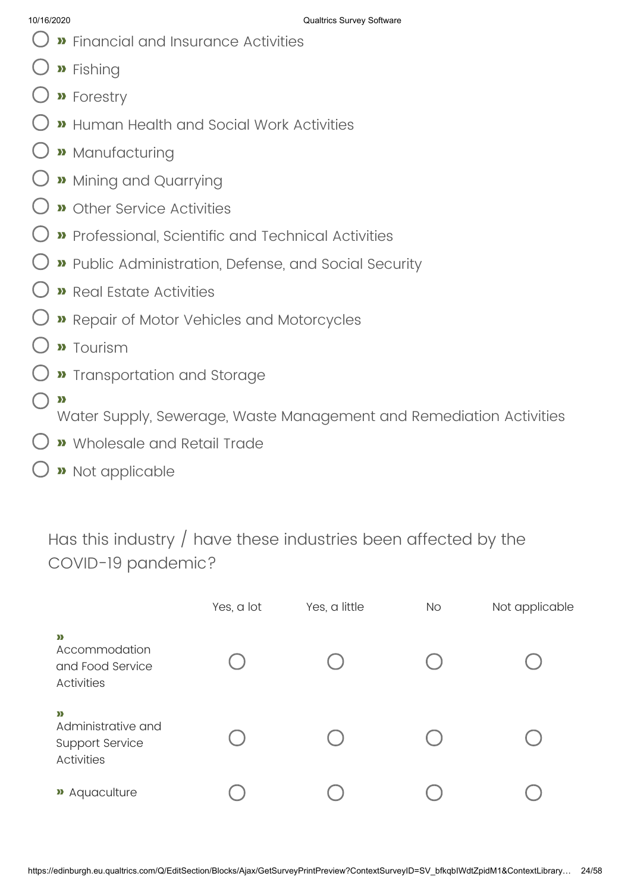- **»** Financial and Insurance Activities
- **»** Fishing
- **»** Forestry
- **»** Human Health and Social Work Activities
- **»** Manufacturing
- **»** Mining and Quarrying
- **»** Other Service Activities
- **»** Professional, Scientific and Technical Activities
- **»** Public Administration, Defense, and Social Security
- **»** Real Estate Activities
- **»** Repair of Motor Vehicles and Motorcycles
- **»** Tourism
- **»** Transportation and Storage
- **»**

Water Supply, Sewerage, Waste Management and Remediation Activities

- **»** Wholesale and Retail Trade
- **»** Not applicable

Has this industry / have these industries been affected by the COVID-19 pandemic?

|                                                                        | Yes, a lot | Yes, a little | <b>No</b> | Not applicable |
|------------------------------------------------------------------------|------------|---------------|-----------|----------------|
| $\mathbf{v}$<br>Accommodation<br>and Food Service<br><b>Activities</b> |            |               |           |                |
| $\sum$<br>Administrative and<br>Support Service<br><b>Activities</b>   |            |               |           |                |
| » Aquaculture                                                          |            |               |           |                |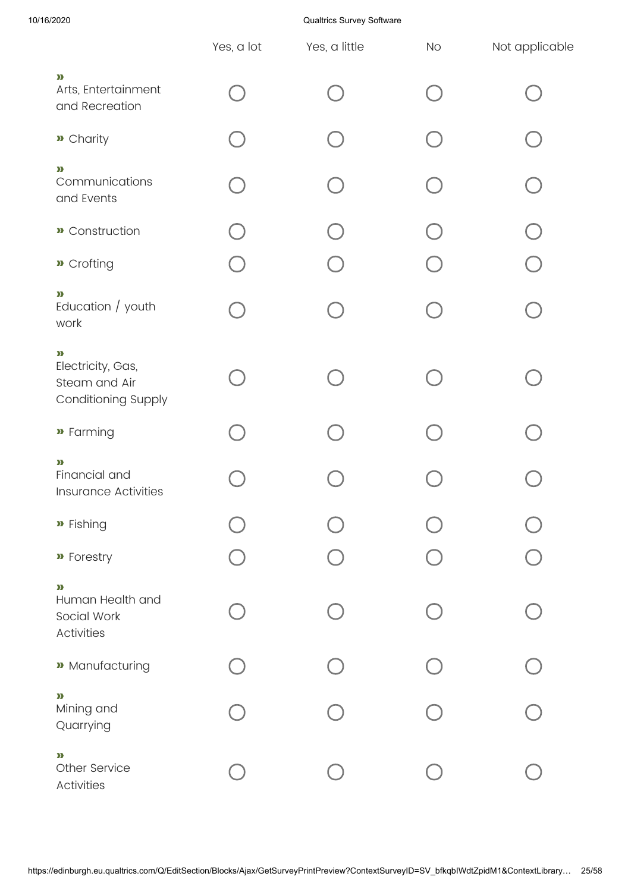10/16/2020 Qualtrics Survey Software

|                                                                           | Yes, a lot | Yes, a little | <b>No</b> | Not applicable |
|---------------------------------------------------------------------------|------------|---------------|-----------|----------------|
| $\mathbf{p}$<br>Arts, Entertainment<br>and Recreation                     |            |               |           |                |
| » Charity                                                                 |            |               |           |                |
| »<br>Communications<br>and Events                                         |            |               |           |                |
| <b>»</b> Construction                                                     |            |               |           |                |
| » Crofting                                                                |            |               |           |                |
| $\mathbf{p}$<br>Education / youth<br>work                                 |            |               |           |                |
| $\mathbf{v}$<br>Electricity, Gas,<br>Steam and Air<br>Conditioning Supply |            |               |           |                |
| » Farming                                                                 |            |               |           |                |
| »<br>Financial and<br><b>Insurance Activities</b>                         |            |               |           |                |
| » Fishing                                                                 |            |               |           |                |
| » Forestry                                                                |            |               |           |                |
| $\mathbf{p}$<br>Human Health and<br>Social Work<br><b>Activities</b>      |            |               |           |                |
| <b>»</b> Manufacturing                                                    |            |               |           |                |
| »<br>Mining and<br>Quarrying                                              |            |               |           |                |
| $\mathbf{p}$<br>Other Service<br>Activities                               |            |               |           |                |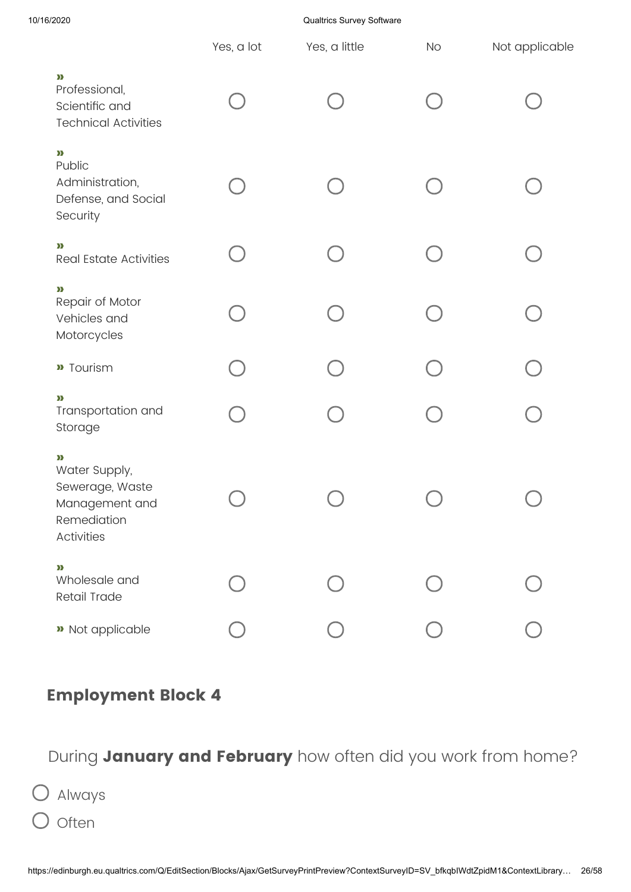10/16/2020 Qualtrics Survey Software

|                                                                                           | Yes, a lot | Yes, a little | No | Not applicable |
|-------------------------------------------------------------------------------------------|------------|---------------|----|----------------|
| $\sum$<br>Professional,<br>Scientific and<br><b>Technical Activities</b>                  |            |               |    |                |
| $\sum$<br>Public<br>Administration,<br>Defense, and Social<br>Security                    |            |               |    |                |
| $\mathbf{p}$<br><b>Real Estate Activities</b>                                             |            |               |    |                |
| $\mathbf{p}$<br>Repair of Motor<br>Vehicles and<br>Motorcycles                            |            |               |    |                |
| <b>»</b> Tourism                                                                          |            |               |    |                |
| $\mathbf{p}$<br>Transportation and<br>Storage                                             |            |               |    |                |
| $\sum$<br>Water Supply,<br>Sewerage, Waste<br>Management and<br>Remediation<br>Activities |            |               |    |                |
| $\sum$<br>Wholesale and<br>Retail Trade                                                   |            |               |    |                |
| » Not applicable                                                                          |            |               |    |                |

## **Employment Block 4**

## During **January and February** how often did you work from home?

Always  $O$  often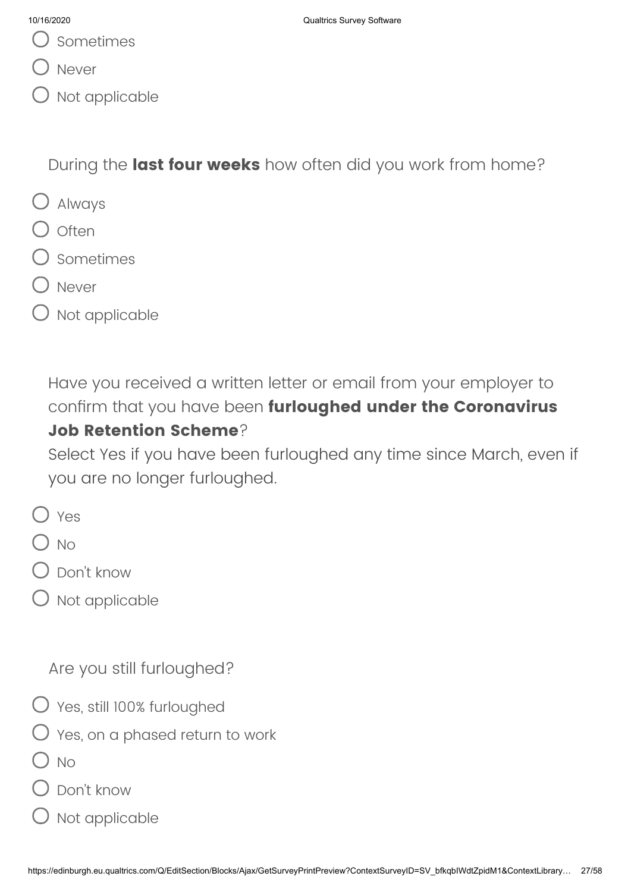- Sometimes
- Never
- Not applicable

During the **last four weeks** how often did you work from home?

- Always
- $\bigcirc$  often
- Sometimes
- Never
- $O$  Not applicable

Have you received a written letter or email from your employer to confirm that you have been **furloughed under the Coronavirus Job Retention Scheme**?

Select Yes if you have been furloughed any time since March, even if you are no longer furloughed.

- O Yes
- $\bigcap$  No
- $\bigcirc$  Don't know
- $O$  Not applicable

Are you still furloughed?

- Yes, still 100% furloughed
- $\bigcirc$  Yes, on a phased return to work
- ) No
- Don't know
- ) Not applicable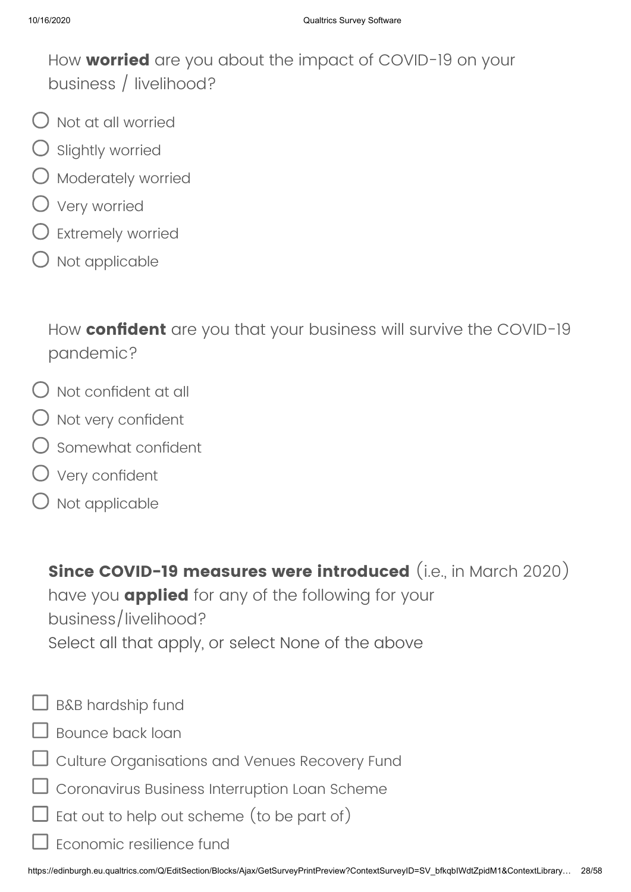How **worried** are you about the impact of COVID-19 on your business / livelihood?

- Not at all worried
- $\bigcirc$  Slightly worried
- $\bigcirc$  Moderately worried
- Very worried
- $\bigcirc$  Extremely worried
- $\bigcirc$  Not applicable

How **confident** are you that your business will survive the COVID-19 pandemic?

- $\bigcirc$  Not confident at all
- $\bigcirc$  Not very confident
- Somewhat confident
- Very confident
- $\bigcirc$  Not applicable

**Since COVID-19 measures were introduced** (i.e., in March 2020)

have you **applied** for any of the following for your business/livelihood? Select all that apply, or select None of the above

- $\Box$  B&B hardship fund
- Bounce back loan
- Culture Organisations and Venues Recovery Fund

Coronavirus Business Interruption Loan Scheme

- Eat out to help out scheme (to be part of)
- Economic resilience fund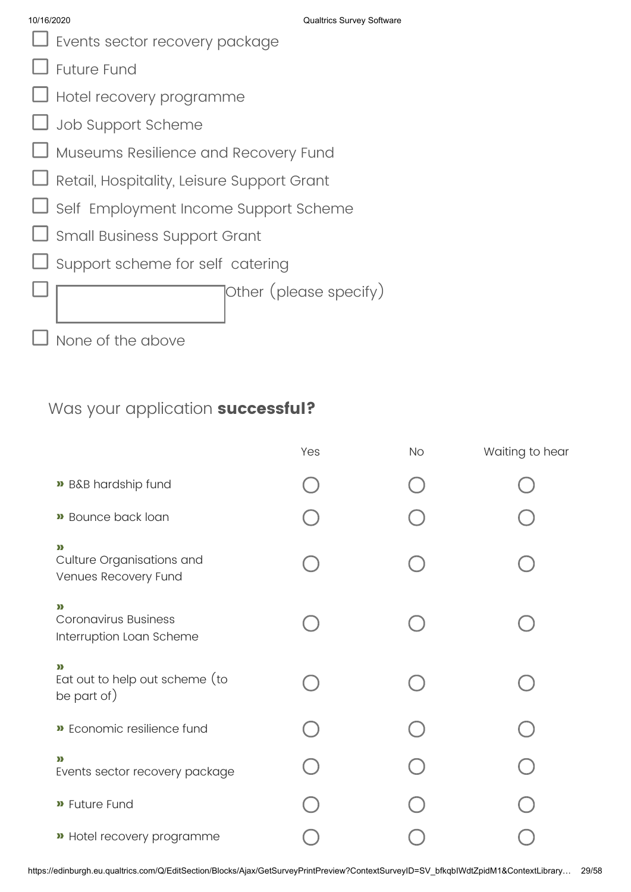- Events sector recovery package
- Future Fund
- Hotel recovery programme
- Job Support Scheme
- Museums Resilience and Recovery Fund
- Retail, Hospitality, Leisure Support Grant
- Self Employment Income Support Scheme
- Small Business Support Grant
- Support scheme for self catering

Other (please specify)

None of the above

### Was your application **successful?**

|                                                                         | Yes | <b>No</b> | Waiting to hear |
|-------------------------------------------------------------------------|-----|-----------|-----------------|
| » B&B hardship fund                                                     |     |           |                 |
| <b>»</b> Bounce back loan                                               |     |           |                 |
| $\mathbf{v}$<br>Culture Organisations and<br>Venues Recovery Fund       |     |           |                 |
| $\mathbf{v}$<br><b>Coronavirus Business</b><br>Interruption Loan Scheme |     |           |                 |
| $\mathbf{v}$<br>Eat out to help out scheme (to<br>be part of)           |     |           |                 |
| » Economic resilience fund                                              |     |           |                 |
| $\mathbf{v}$<br>Events sector recovery package                          |     |           |                 |
| <b>»</b> Future Fund                                                    |     |           |                 |
| » Hotel recovery programme                                              |     |           |                 |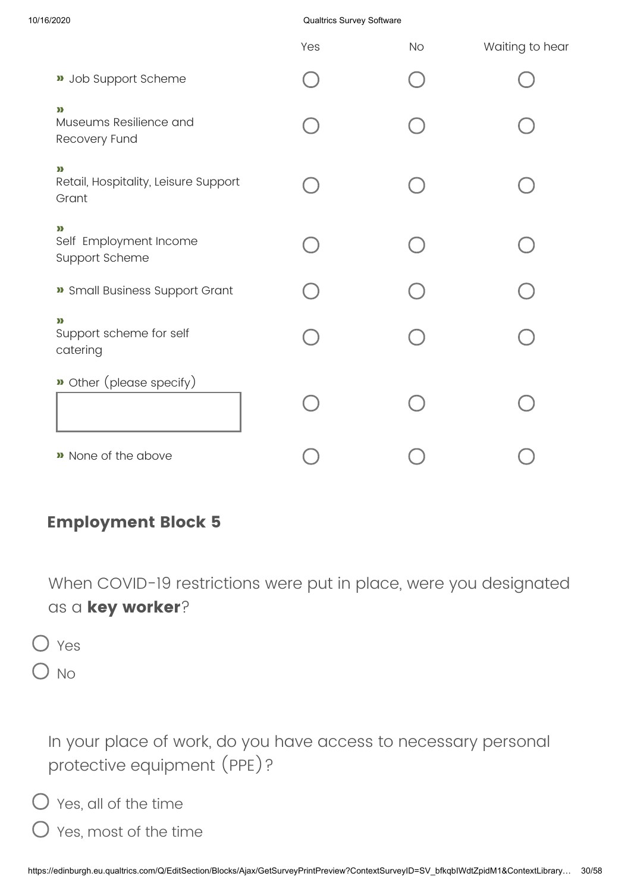### 10/16/2020 Qualtrics Survey Software

|                                                               | Yes | <b>No</b> | Waiting to hear |
|---------------------------------------------------------------|-----|-----------|-----------------|
| <b>»</b> Job Support Scheme                                   |     |           |                 |
| $\sum$<br>Museums Resilience and<br>Recovery Fund             |     |           |                 |
| $\mathbf{p}$<br>Retail, Hospitality, Leisure Support<br>Grant |     |           |                 |
| $\mathbf{p}$<br>Self Employment Income<br>Support Scheme      |     |           |                 |
| » Small Business Support Grant                                |     |           |                 |
| $\mathbf{v}$<br>Support scheme for self<br>catering           |     |           |                 |
| Dother (please specify)                                       |     |           |                 |
| » None of the above                                           |     |           |                 |

### **Employment Block 5**

When COVID-19 restrictions were put in place, were you designated as a **key worker**?

Yes  $\bigcirc$  No

> In your place of work, do you have access to necessary personal protective equipment (PPE)?

 $\bigcirc$  Yes, all of the time

Yes, most of the time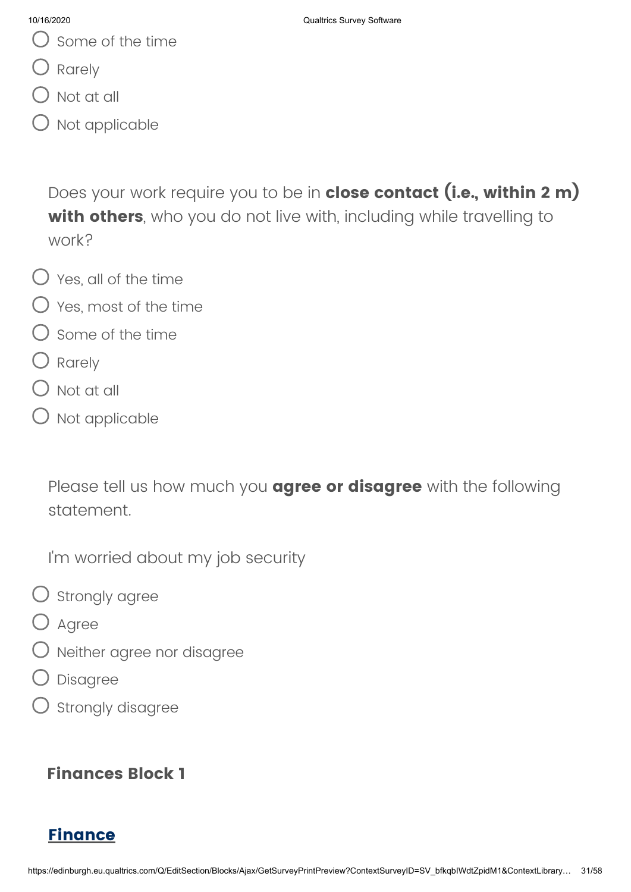- Some of the time
- O Rarely
- $\bigcirc$  Not at all
- Not applicable

Does your work require you to be in **close contact (i.e., within 2 m) with others**, who you do not live with, including while travelling to work?

- $\bigcirc$  Yes, all of the time
- $\bigcirc$  Yes, most of the time
- $\bigcirc$  Some of the time
- Rarely
- $\bigcap$  Not at all
- $\bigcirc$  Not applicable

Please tell us how much you **agree or disagree** with the following statement.

I'm worried about my job security

- $\bigcirc$  strongly agree
- O Agree
- Neither agree nor disagree
- Disagree
- $\bigcirc$  strongly disagree

### **Finances Block 1**

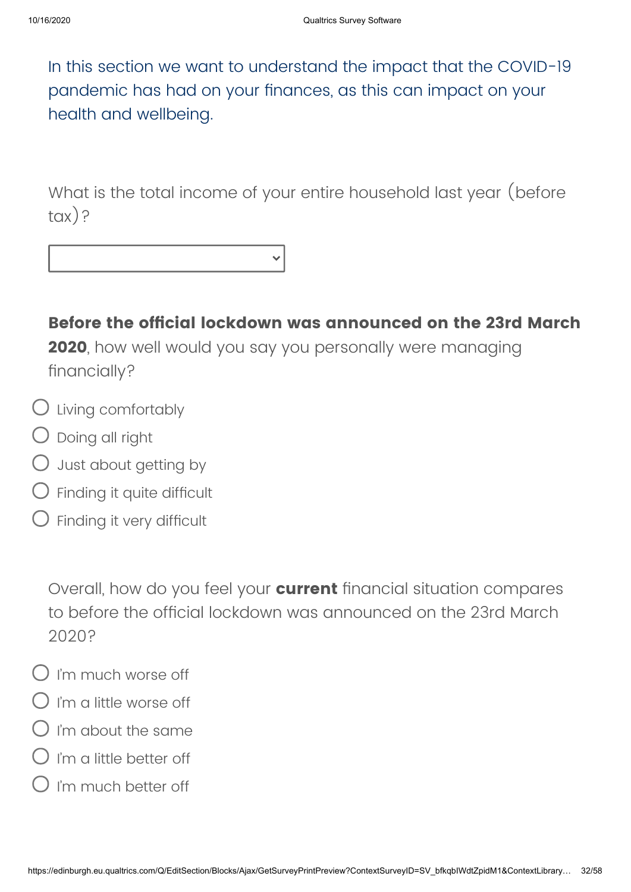In this section we want to understand the impact that the COVID-19 pandemic has had on your finances, as this can impact on your health and wellbeing.

What is the total income of your entire household last year (before tax)?

**Before the official lockdown was announced on the 23rd March 2020**, how well would you say you personally were managing financially?

- Living comfortably
- $\bigcirc$  Doing all right
- $\bigcirc$  Just about getting by
- Finding it quite difficult
- Finding it very difficult

Overall, how do you feel your **current** financial situation compares to before the official lockdown was announced on the 23rd March 2020?

- $O$  I'm much worse off
- $\Omega$  I'm a little worse off
- $O$  i'm about the same
- I'm a little better off
- I'm much better off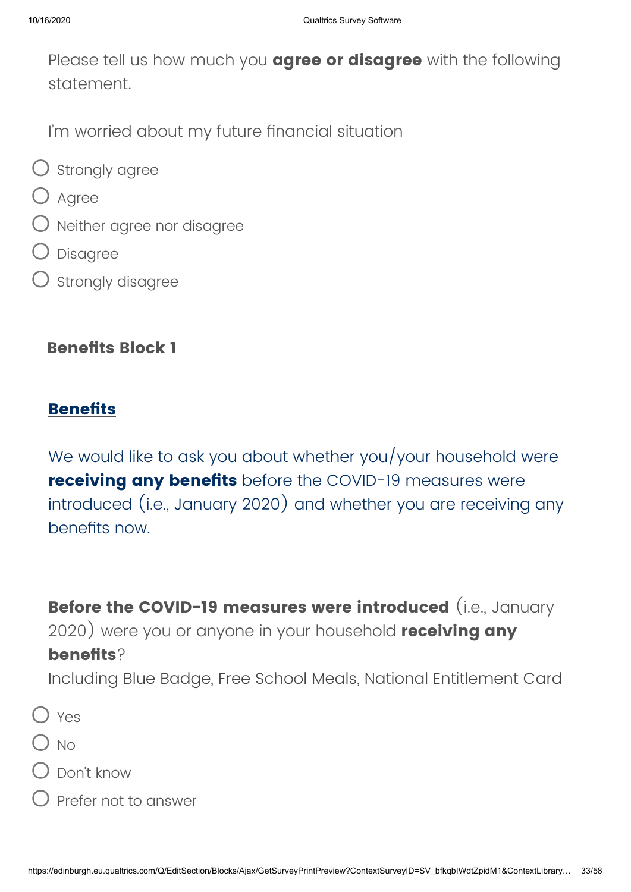Please tell us how much you **agree or disagree** with the following statement.

I'm worried about my future financial situation

- $\bigcirc$  strongly agree
- O Agree
- Neither agree nor disagree
- Disagree
- $O$  strongly disagree

### **Benefits Block 1**

### **Benefits**

We would like to ask you about whether you/your household were **receiving any benefits** before the COVID-19 measures were introduced (i.e., January 2020) and whether you are receiving any benefits now.

**Before the COVID-19 measures were introduced** (i.e., January 2020) were you or anyone in your household **receiving any benefits**? Including Blue Badge, Free School Meals, National Entitlement Card

- $O$  Yes
- $\bigcap$  No
- Don't know
- $\bigcirc$  Prefer not to answer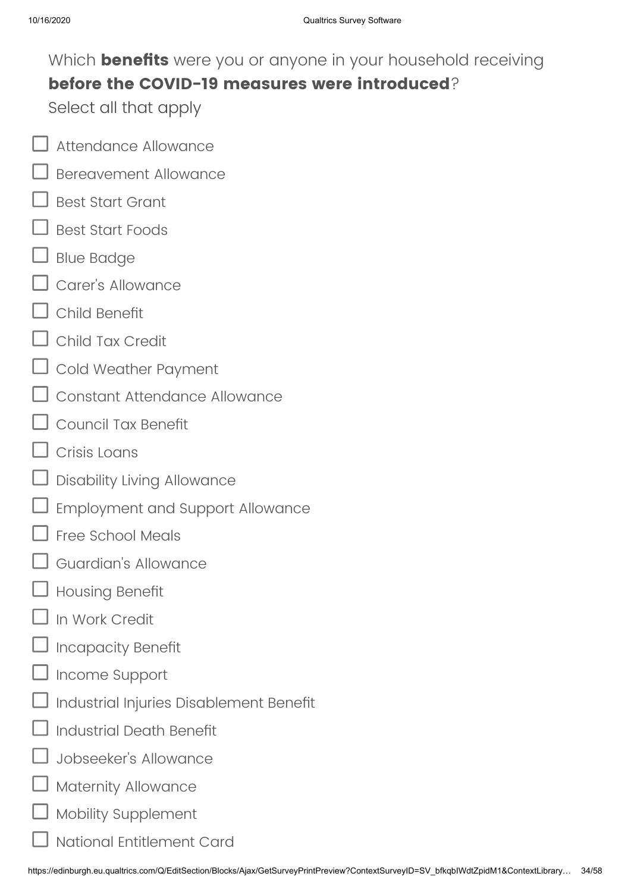# Which **benefits** were you or anyone in your household receiving **before the COVID-19 measures were introduced**?

Select all that apply

- Attendance Allowance
- Bereavement Allowance
- Best Start Grant
- Best Start Foods
- Blue Badge
- Carer's Allowance
- Child Benefit
- Child Tax Credit
- Cold Weather Payment
- Constant Attendance Allowance
- Council Tax Benefit
- Crisis Loans
- Disability Living Allowance
- Employment and Support Allowance
- Free School Meals
- Guardian's Allowance
- Housing Benefit
- In Work Credit
- Incapacity Benefit
- Income Support
- Industrial Injuries Disablement Benefit
- Industrial Death Benefit
- Jobseeker's Allowance
- Maternity Allowance
- Mobility Supplement
	- National Entitlement Card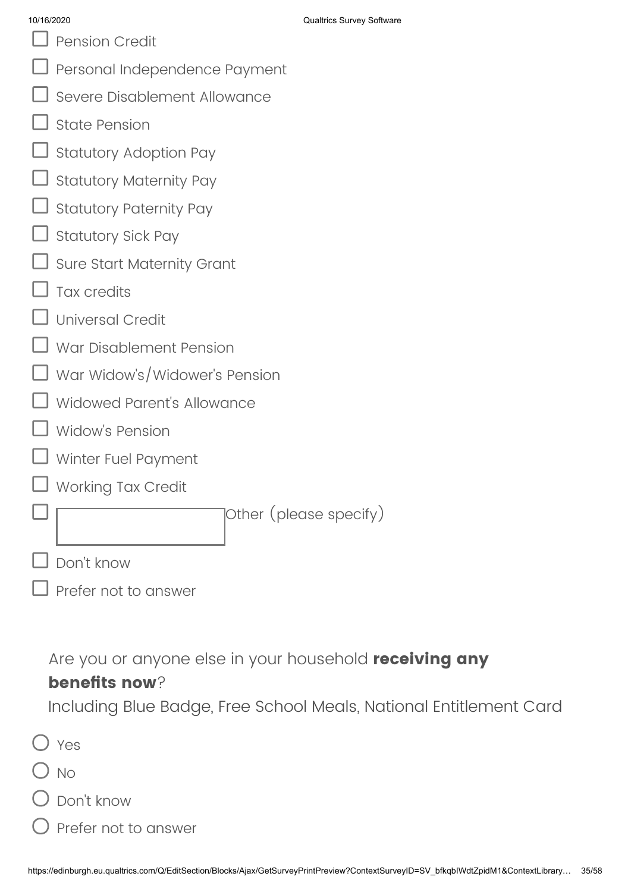| 10/16/2020 |
|------------|
|------------|

Pension Credit

|  | $\Box$ Personal Independence Payment |  |
|--|--------------------------------------|--|
|  |                                      |  |

- Severe Disablement Allowance
- State Pension
- Statutory Adoption Pay
- Statutory Maternity Pay
- Statutory Paternity Pay
- Statutory Sick Pay
- Sure Start Maternity Grant
- Tax credits
- Universal Credit
- War Disablement Pension
- War Widow's/Widower's Pension
- Widowed Parent's Allowance
- Widow's Pension
- Winter Fuel Payment
- Working Tax Credit

Other (please specify)

- Don't know
- Prefer not to answer

Are you or anyone else in your household **receiving any**

### **benefits now**?

Including Blue Badge, Free School Meals, National Entitlement Card

|         | $()$ Yes      |
|---------|---------------|
| $()$ No |               |
|         | () Don't know |

Prefer not to answer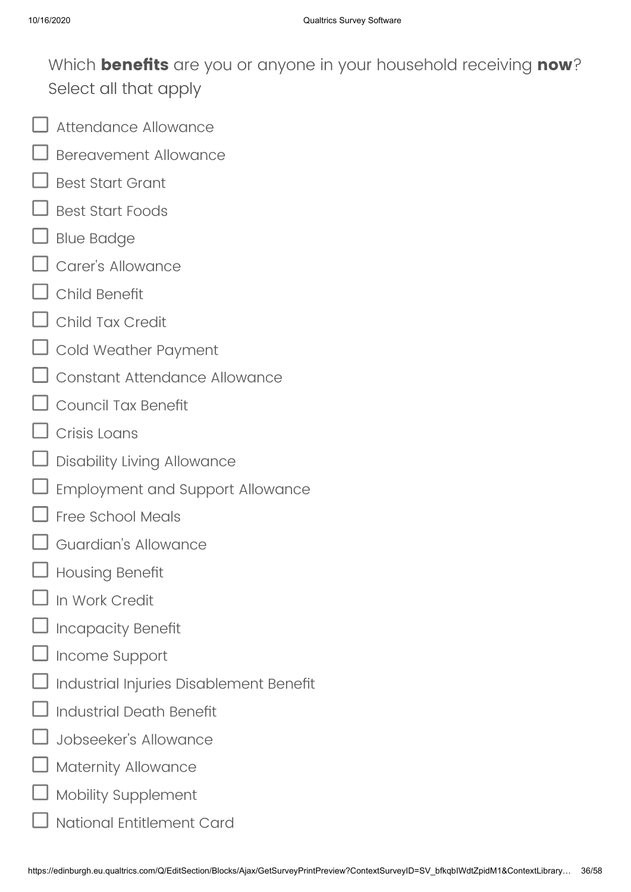Which **benefits** are you or anyone in your household receiving **now**? Select all that apply

- Attendance Allowance
- Bereavement Allowance
- Best Start Grant
- Best Start Foods
- Blue Badge
- Carer's Allowance
- Child Benefit
- Child Tax Credit
- Cold Weather Payment
- Constant Attendance Allowance
- Council Tax Benefit
- Crisis Loans
- Disability Living Allowance
- Employment and Support Allowance
- Free School Meals
- Guardian's Allowance
- Housing Benefit
- In Work Credit
- Incapacity Benefit
- Income Support
- Industrial Injuries Disablement Benefit
- Industrial Death Benefit
- Jobseeker's Allowance
- Maternity Allowance
- Mobility Supplement
	- National Entitlement Card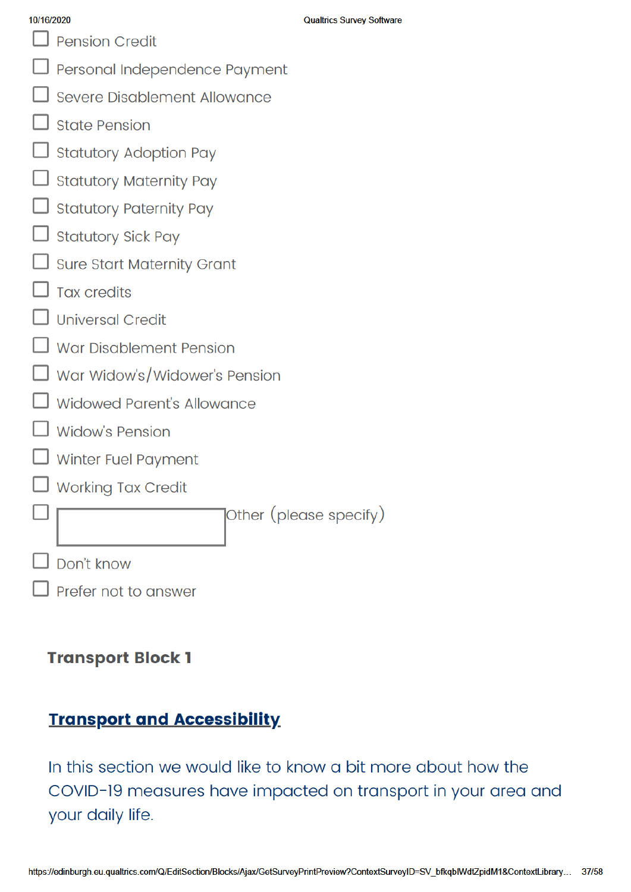|  | 10/16/2020 |  |
|--|------------|--|

Pension Credit

- Personal Independence Payment
- Severe Disablement Allowance
- State Pension
- **Statutory Adoption Pay**
- **Statutory Maternity Pay**
- **Statutory Paternity Pay**
- **Statutory Sick Pay**
- **Sure Start Maternity Grant**
- **Tax credits**
- **Universal Credit**
- War Disablement Pension
- War Widow's/Widower's Pension
- Widowed Parent's Allowance
- **Widow's Pension**
- Winter Fuel Payment
- **Working Tax Credit**

Other (please specify)

| $\Box$ Don't know |  |
|-------------------|--|
|                   |  |

Prefer not to answer

### **Transport Block 1**

### **Transport and Accessibility**

In this section we would like to know a bit more about how the COVID-19 measures have impacted on transport in your area and your daily life.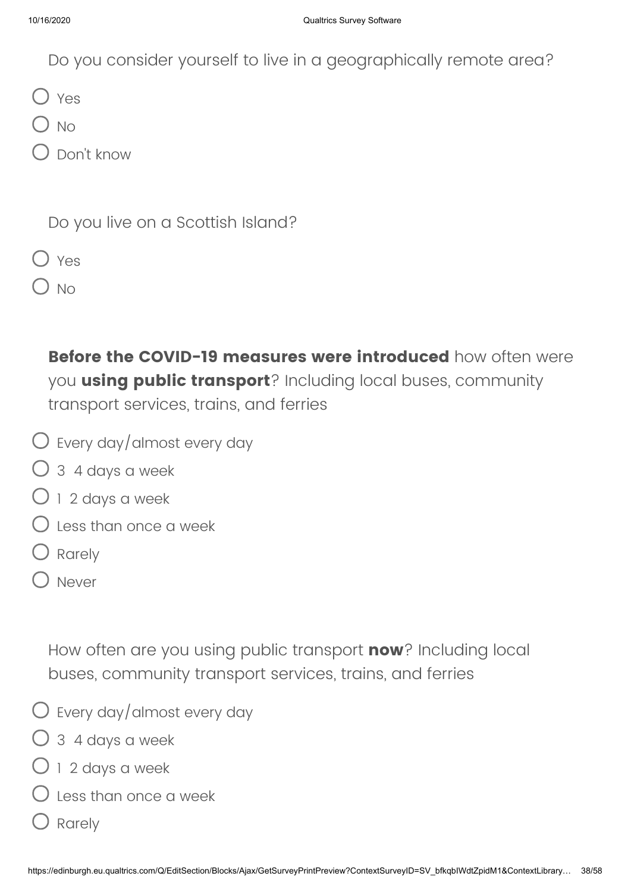Do you consider yourself to live in a geographically remote area?

O Yes

 $\bigcirc$  No

Don't know

Do you live on a Scottish Island?

|--|--|

 $\bigcup$  No

**Before the COVID-19 measures were introduced** how often were you **using public transport**? Including local buses, community transport services, trains, and ferries

- Every day/almost every day
- 3 4 days a week
- $\bigcirc$  1 2 days a week
- $\bigcirc$  Less than once a week
- Rarely
- Never

How often are you using public transport **now**? Including local buses, community transport services, trains, and ferries

- $\bigcirc$  Every day/almost every day
- $\bigcirc$  3 4 days a week
- $\bigcirc$  1 2 days a week
- $\bigcirc$  less than once a week
- Q Rarely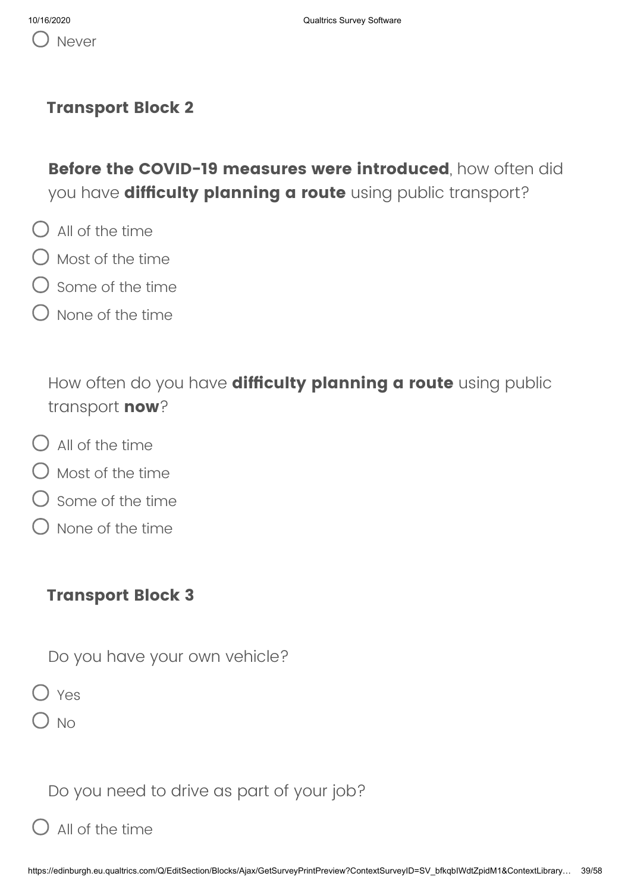### **Transport Block 2**

**Before the COVID-19 measures were introduced**, how often did you have **difficulty planning a route** using public transport?

- $\bigcap$  All of the time
- $\bigcirc$  Most of the time
- $\bigcirc$  Some of the time
- $\bigcirc$  None of the time

How often do you have **difficulty planning a route** using public transport **now**?

- $\bigcirc$  All of the time
- $\bigcirc$  Most of the time
- $\bigcirc$  some of the time
- None of the time

### **Transport Block 3**

Do you have your own vehicle?

 $\bigcirc$  Yes

 $\bigcirc$  No

Do you need to drive as part of your job?

 $\bigcirc$  All of the time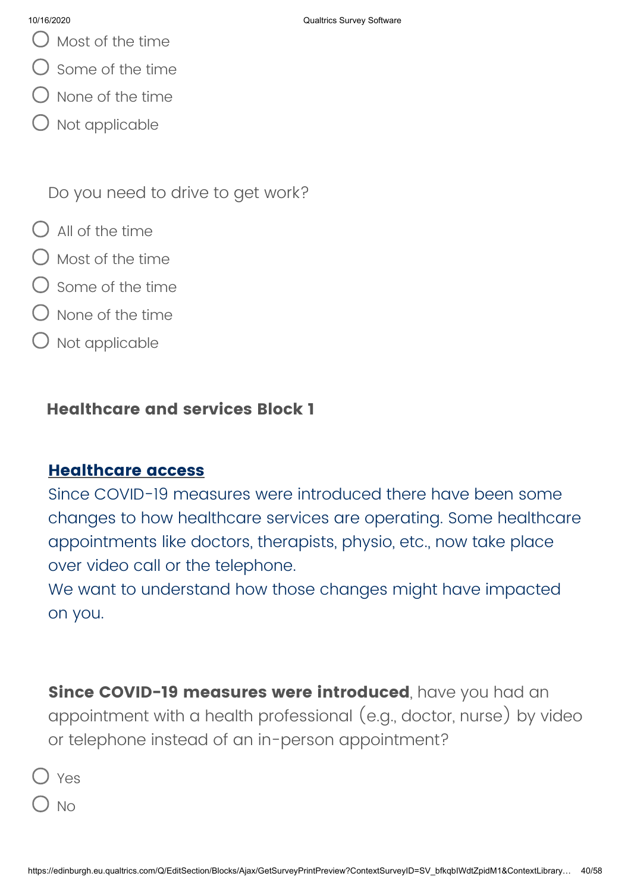- 10/16/2020 Qualtrics Survey Software
- Most of the time
- Some of the time
- $\lambda$  None of the time
- Not applicable

Do you need to drive to get work?

- $\bigcap$  All of the time
- $\bigcirc$  Most of the time
- $\bigcirc$  some of the time
- None of the time
- ) Not applicable

### **Healthcare and services Block 1**

### **Healthcare access**

Since COVID-19 measures were introduced there have been some changes to how healthcare services are operating. Some healthcare appointments like doctors, therapists, physio, etc., now take place over video call or the telephone.

We want to understand how those changes might have impacted on you.

**Since COVID-19 measures were introduced**, have you had an appointment with a health professional (e.g., doctor, nurse) by video or telephone instead of an in-person appointment?

- Yes
- ) No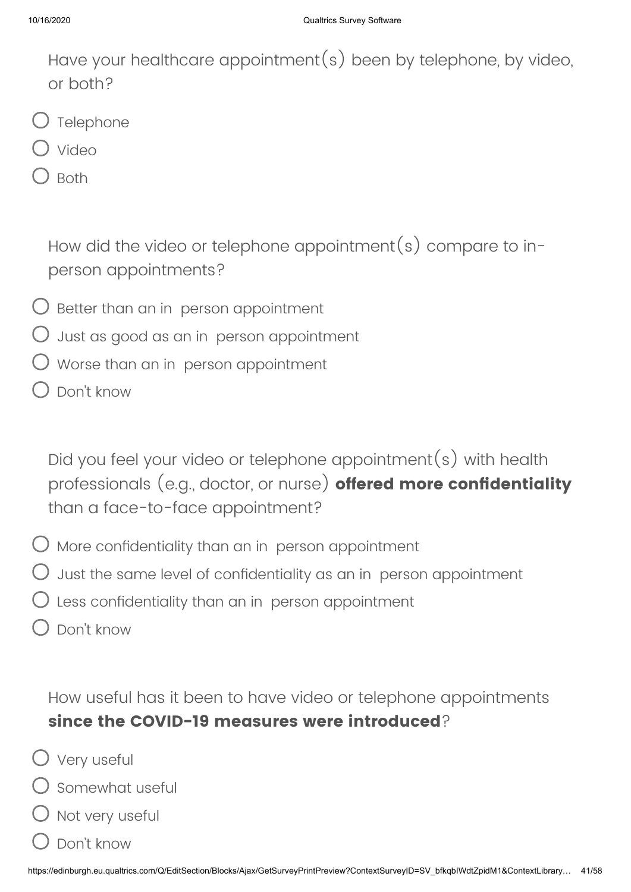Have your healthcare appointment(s) been by telephone, by video, or both?

- $\bigcup$  Telephone
- Video
- $\lambda$  Both

How did the video or telephone appointment(s) compare to inperson appointments?

- $\bigcirc$  Better than an in person appointment
- $\bigcirc$  Just as good as an in person appointment
- Worse than an in person appointment
- Don't know

Did you feel your video or telephone appointment(s) with health professionals (e.g., doctor, or nurse) **offered more confidentiality** than a face-to-face appointment?

- $\bigcirc$  More confidentiality than an in person appointment
- $\bigcirc$  Just the same level of confidentiality as an in person appointment
- $\bigcirc$  Less confidentiality than an in person appointment
- Don't know

How useful has it been to have video or telephone appointments **since the COVID-19 measures were introduced**?

- Very useful
	- Somewhat useful
- Not very useful
- Don't know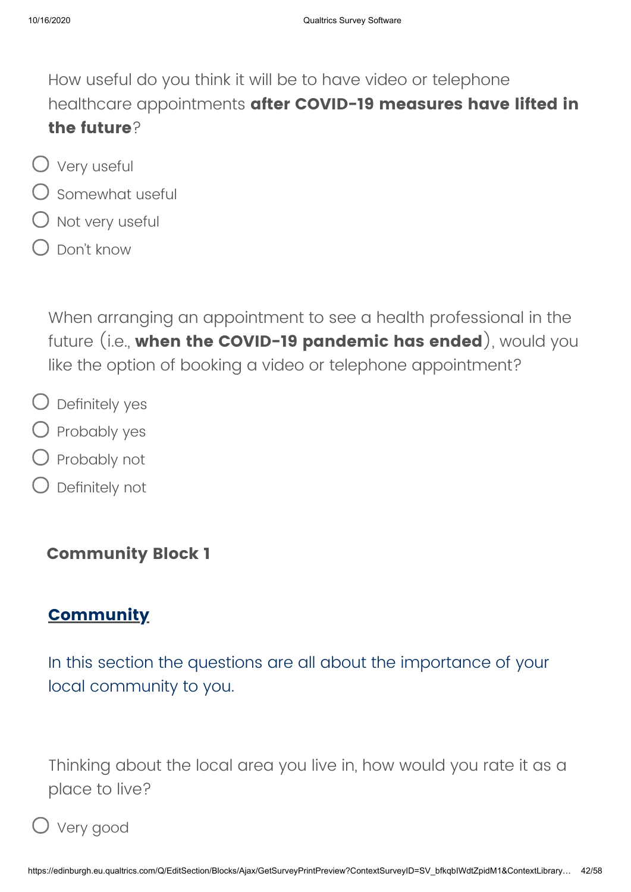How useful do you think it will be to have video or telephone healthcare appointments **after COVID-19 measures have lifted in the future**?

- Very useful
- $\bigcirc$  Somewhat useful
- $O$  Not very useful
- $\bigcap$  Don't know

When arranging an appointment to see a health professional in the future (i.e., **when the COVID-19 pandemic has ended**), would you like the option of booking a video or telephone appointment?

- $\bigcirc$  Definitely yes
- $\bigcirc$  Probably yes
- Probably not
- Definitely not

### **Community Block 1**

# **Community**

In this section the questions are all about the importance of your local community to you.

Thinking about the local area you live in, how would you rate it as a place to live?

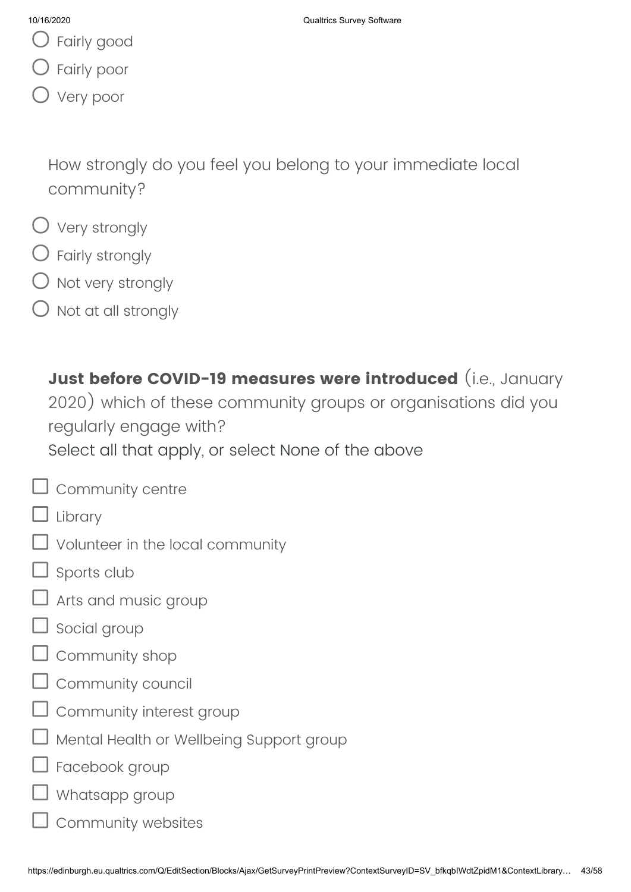- Fairly good
- Fairly poor
- Very poor

How strongly do you feel you belong to your immediate local community?

- Very strongly
- $\bigcirc$  Fairly strongly
- ) Not very strongly
- Not at all strongly

**Just before COVID-19 measures were introduced** (i.e., January 2020) which of these community groups or organisations did you regularly engage with? Select all that apply, or select None of the above

- $\Box$  Community centre Library
- Volunteer in the local community
- Sports club
- Arts and music group
- Social group
- Community shop
- Community council
- Community interest group
- Mental Health or Wellbeing Support group
- Facebook group
- Whatsapp group
	- Community websites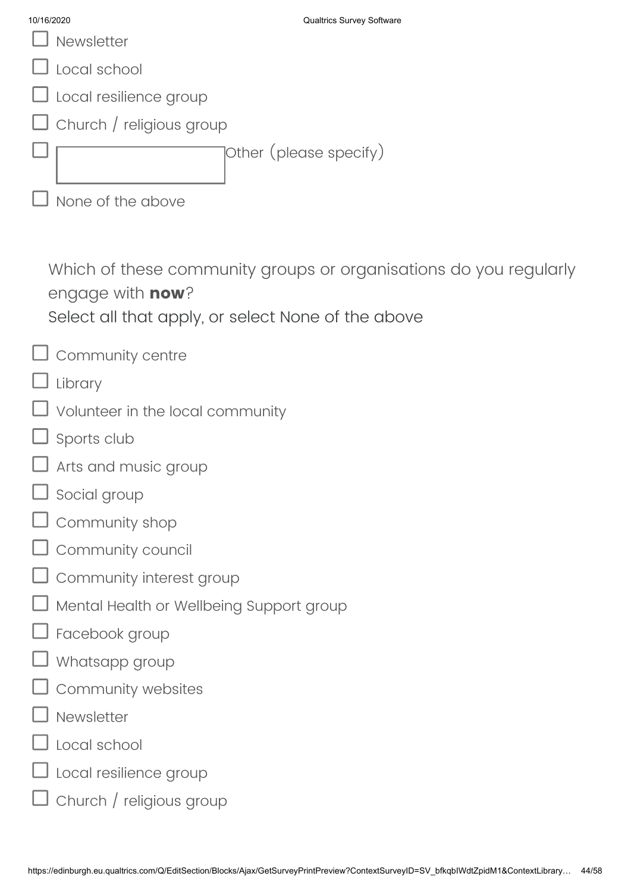| 10/16/2020                                                                     | <b>Qualtrics Survey Software</b>                                  |
|--------------------------------------------------------------------------------|-------------------------------------------------------------------|
| Newsletter                                                                     |                                                                   |
| Local school                                                                   |                                                                   |
| Local resilience group                                                         |                                                                   |
| Church / religious group                                                       |                                                                   |
|                                                                                | Other (please specify)                                            |
| None of the above                                                              |                                                                   |
|                                                                                |                                                                   |
| engage with <b>now</b> ?<br>Select all that apply, or select None of the above | Which of these community groups or organisations do you regularly |
| Community centre                                                               |                                                                   |
| Library                                                                        |                                                                   |
| Volunteer in the local community                                               |                                                                   |
| Sports club                                                                    |                                                                   |
| Arts and music group                                                           |                                                                   |
| $\Box$ Social group                                                            |                                                                   |
| Community shop                                                                 |                                                                   |
| Community council                                                              |                                                                   |
| Community interest group                                                       |                                                                   |
| Mental Health or Wellbeing Support group                                       |                                                                   |
| Facebook group                                                                 |                                                                   |
| Whatsapp group                                                                 |                                                                   |
| Community websites                                                             |                                                                   |
| Newsletter                                                                     |                                                                   |
| Local school                                                                   |                                                                   |
| Local resilience group                                                         |                                                                   |
| Church / religious group                                                       |                                                                   |
|                                                                                |                                                                   |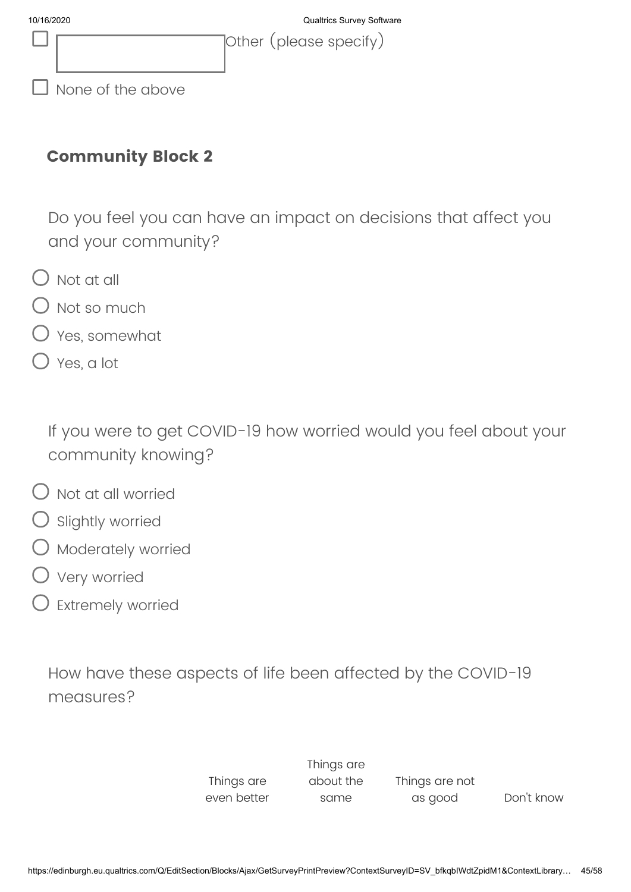|  | Tother (please specify) |  |
|--|-------------------------|--|
|  |                         |  |

 $\Box$  None of the above

### **Community Block 2**

Do you feel you can have an impact on decisions that affect you and your community?

- $\bigcirc$  Not at all
- Not so much
- Yes, somewhat
- Yes, a lot

If you were to get COVID-19 how worried would you feel about your community knowing?

- $\bigcap$  Not at all worried
- Slightly worried
- Moderately worried
- Very worried
- Extremely worried

How have these aspects of life been affected by the COVID-19 measures?

> Things are even better Things are about the same Things are not

as good Don't know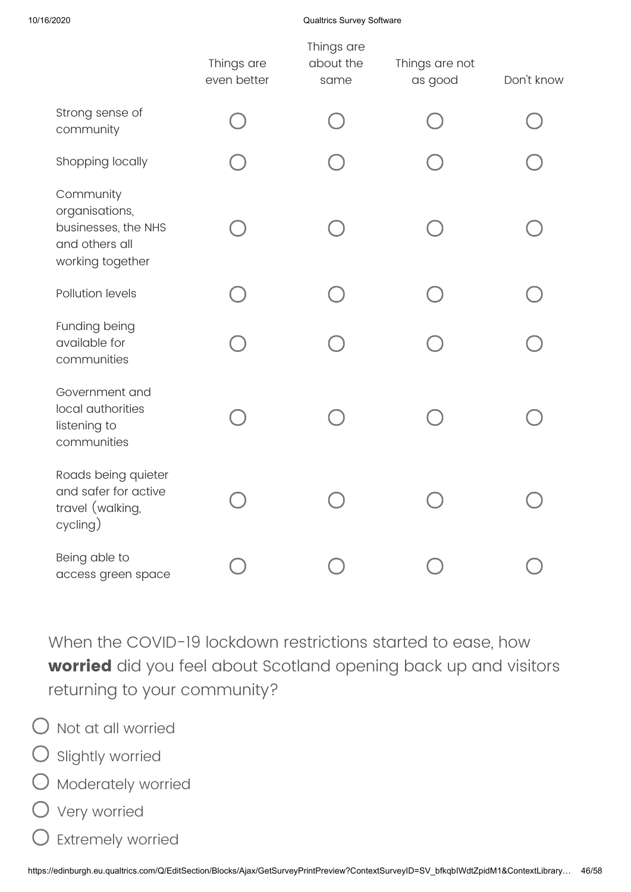### 10/16/2020 Qualtrics Survey Software

|                                                                                          | Things are<br>even better | Things are<br>about the<br>same | Things are not<br>as good | Don't know |
|------------------------------------------------------------------------------------------|---------------------------|---------------------------------|---------------------------|------------|
| Strong sense of<br>community                                                             |                           |                                 |                           |            |
| Shopping locally                                                                         |                           |                                 |                           |            |
| Community<br>organisations,<br>businesses, the NHS<br>and others all<br>working together |                           |                                 |                           |            |
| Pollution levels                                                                         |                           |                                 |                           |            |
| Funding being<br>available for<br>communities                                            |                           |                                 |                           |            |
| Government and<br>local authorities<br>listening to<br>communities                       |                           |                                 |                           |            |
| Roads being quieter<br>and safer for active<br>travel (walking,<br>cycling)              |                           |                                 |                           |            |
| Being able to<br>access green space                                                      |                           |                                 |                           |            |

When the COVID-19 lockdown restrictions started to ease, how **worried** did you feel about Scotland opening back up and visitors returning to your community?

- $\bigcirc$  Not at all worried
- $O$  Slightly worried
- O Moderately worried
- Very worried
- Extremely worried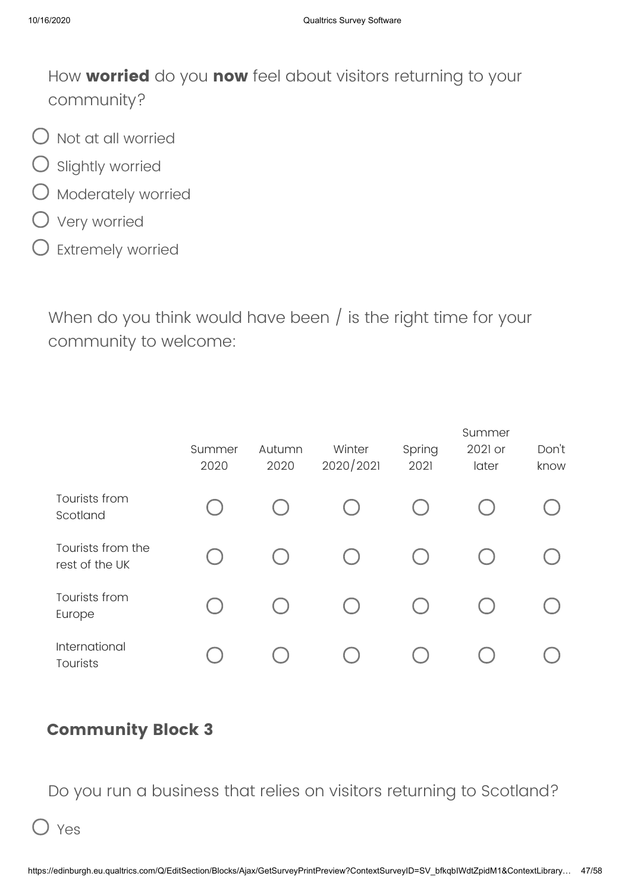How **worried** do you **now** feel about visitors returning to your community?

- $\bigcirc$  Not at all worried
- $\bigcirc$  Slightly worried
- O Moderately worried
- Very worried
- $\bigcirc$  Extremely worried

When do you think would have been / is the right time for your community to welcome:

|                                     |                |                |                     |                | Summer           |               |
|-------------------------------------|----------------|----------------|---------------------|----------------|------------------|---------------|
|                                     | Summer<br>2020 | Autumn<br>2020 | Winter<br>2020/2021 | Spring<br>2021 | 2021 or<br>later | Don't<br>know |
| Tourists from<br>Scotland           |                |                |                     |                |                  |               |
| Tourists from the<br>rest of the UK |                |                |                     |                |                  |               |
| Tourists from<br>Europe             |                |                |                     |                |                  |               |
| International<br>Tourists           |                |                |                     |                |                  |               |

### **Community Block 3**

Do you run a business that relies on visitors returning to Scotland?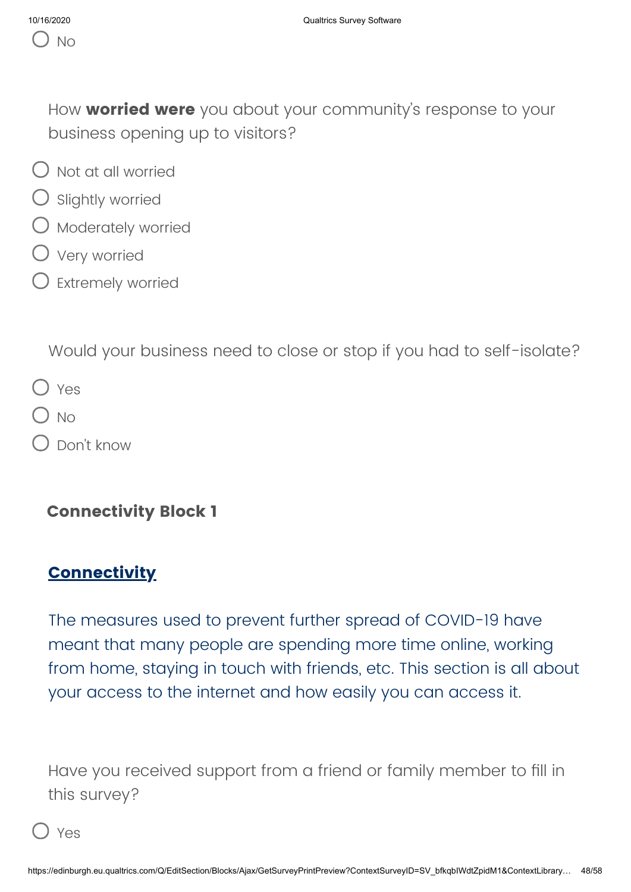How **worried were** you about your community's response to your business opening up to visitors?

- $\bigcap$  Not at all worried
- $O$  Slightly worried
- $\bigcirc$  Moderately worried
- Very worried
- $\bigcirc$  Extremely worried

Would your business need to close or stop if you had to self-isolate?

|  | ٠ |
|--|---|
|--|---|

- $O$  No
- Don't know

### **Connectivity Block 1**

# **Connectivity**

The measures used to prevent further spread of COVID-19 have meant that many people are spending more time online, working from home, staying in touch with friends, etc. This section is all about your access to the internet and how easily you can access it.

Have you received support from a friend or family member to fill in this survey?

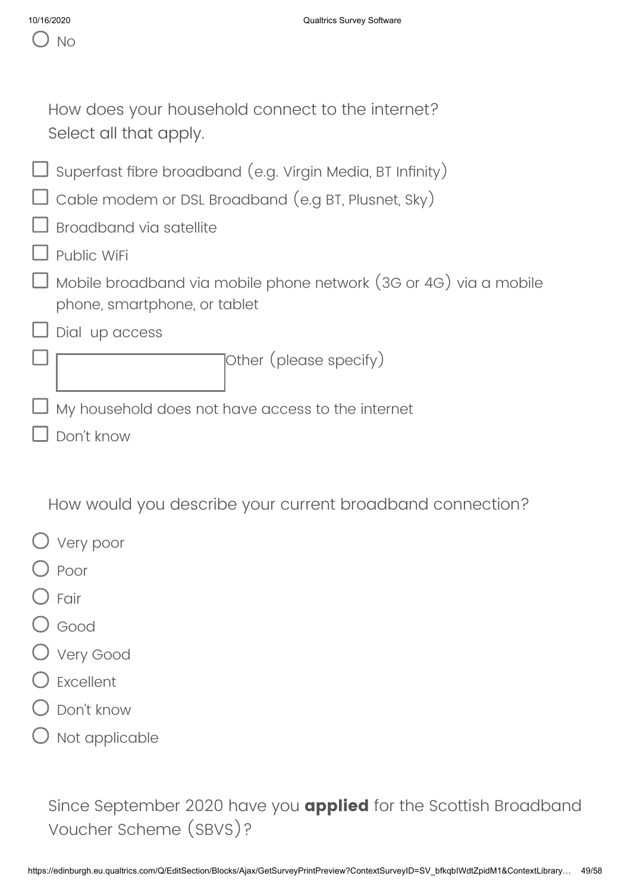| How does your household connect to the internet?<br>Select all that apply.                                        |
|-------------------------------------------------------------------------------------------------------------------|
| Superfast fibre broadband (e.g. Virgin Media, BT Infinity)<br>Cable modem or DSL Broadband (e.g BT, Plusnet, Sky) |
| Broadband via satellite                                                                                           |
| Public WiFi                                                                                                       |
| Mobile broadband via mobile phone network (3G or 4G) via a mobile<br>phone, smartphone, or tablet                 |
| Dial up access                                                                                                    |
| Other (please specify)                                                                                            |
| My household does not have access to the internet                                                                 |
| Don't know                                                                                                        |
|                                                                                                                   |

How would you describe your current broadband connection?

- Very poor
- ) Poor
- $\overline{)}$  Fair
- Good
- Very Good
- Excellent
- Don't know
- Not applicable

Since September 2020 have you **applied** for the Scottish Broadband Voucher Scheme (SBVS)?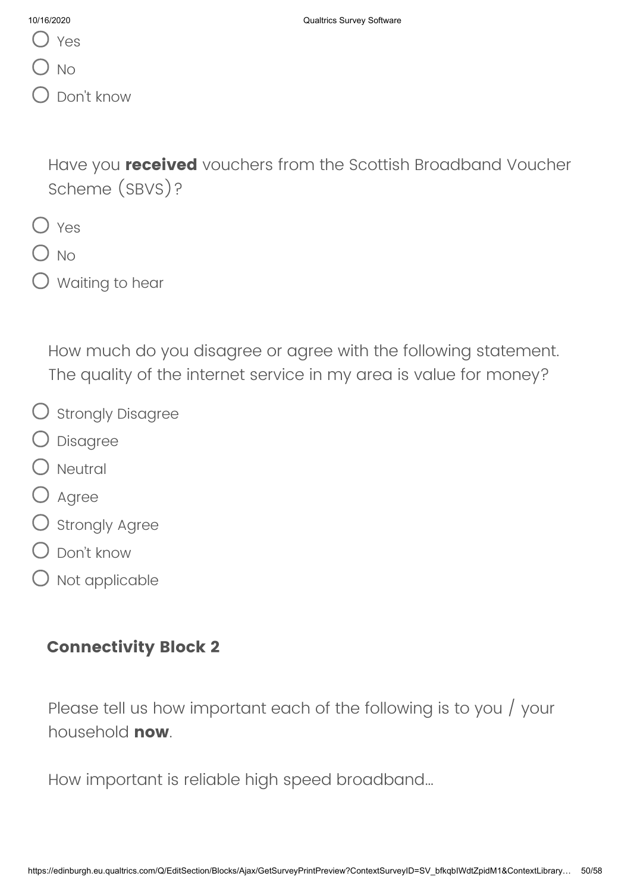- Yes
- ) No
- Don't know

Have you **received** vouchers from the Scottish Broadband Voucher Scheme (SBVS)?

- $\bigcap$  Yes
- $\bigcirc$  No
- $\bigcirc$  Waiting to hear

How much do you disagree or agree with the following statement. The quality of the internet service in my area is value for money?

- O Strongly Disagree
- Disagree
- $O$  Neutral
- O Agree
- $O$  Strongly Agree
- Don't know
- $O$  Not applicable

### **Connectivity Block 2**

Please tell us how important each of the following is to you / your household **now**.

How important is reliable high speed broadband…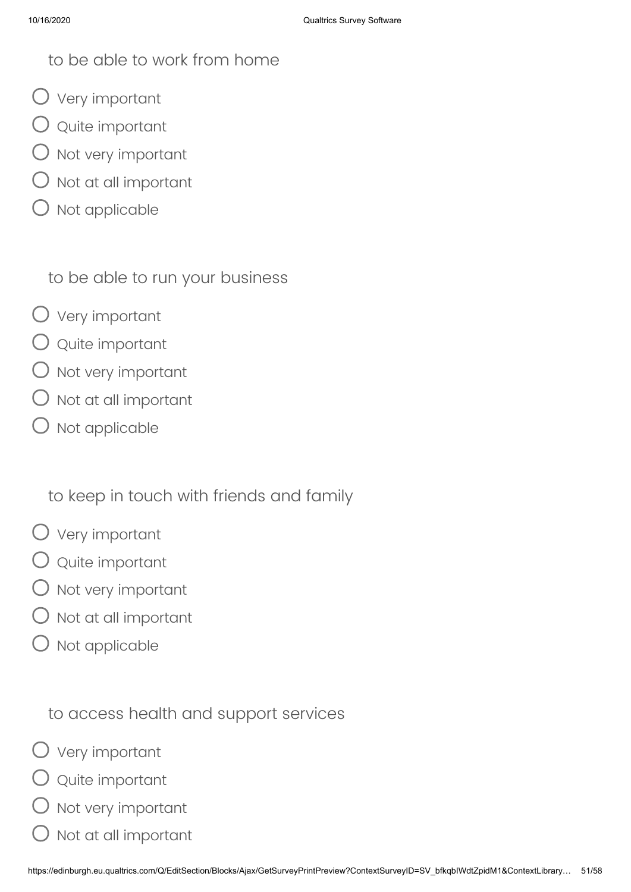### to be able to work from home

- Very important
- Quite important
- $O$  Not very important
- $\bigcirc$  Not at all important
- Not applicable

to be able to run your business

- Very important
- $\bigcirc$  Quite important
- $O$  Not very important
- $\bigcirc$  Not at all important
- Not applicable

to keep in touch with friends and family

- Very important
- $\bigcirc$  Quite important
- Not very important
- $\big)$  Not at all important
- Not applicable

to access health and support services

- Very important
- Quite important
- ) Not very important
- Not at all important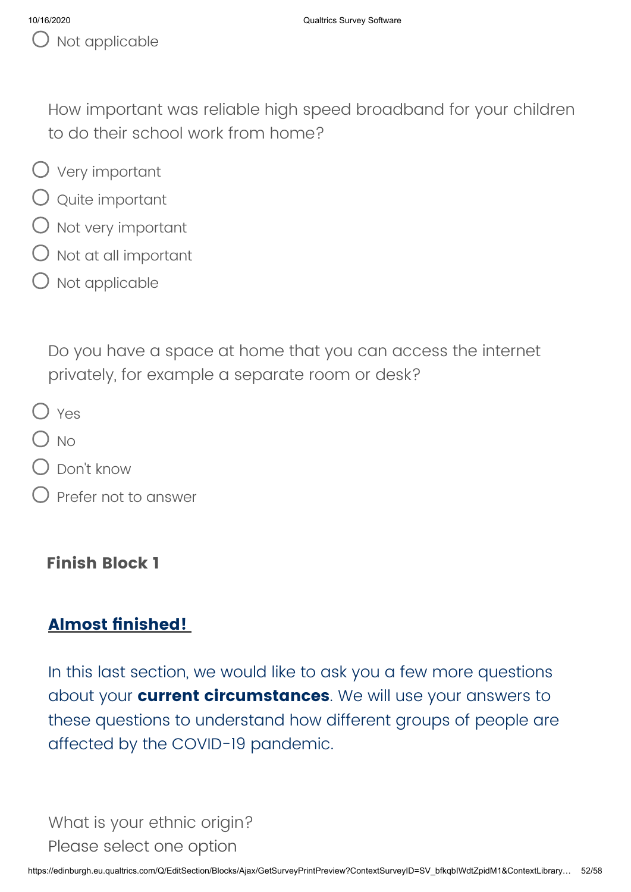How important was reliable high speed broadband for your children to do their school work from home?

- Very important
- Quite important
- $O$  Not very important
- $\bigcirc$  Not at all important
- $\bigcirc$  Not applicable

Do you have a space at home that you can access the internet privately, for example a separate room or desk?

- O Yes
- $\bigcap$  No
- $\bigcirc$  Don't know
- Prefer not to answer

# **Finish Block 1**

# **Almost finished!**

In this last section, we would like to ask you a few more questions about your **current circumstances**. We will use your answers to these questions to understand how different groups of people are affected by the COVID-19 pandemic.

What is your ethnic origin? Please select one option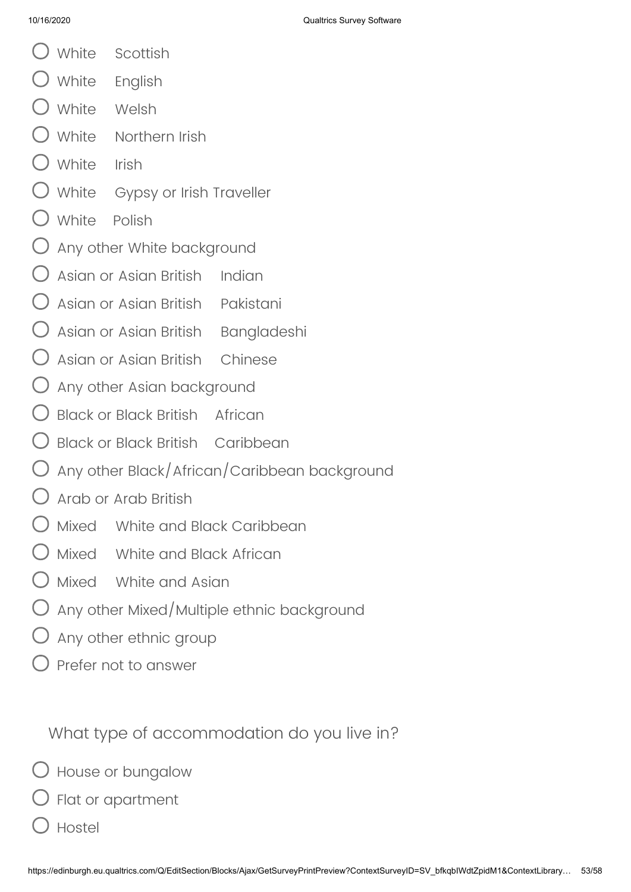- White Scottish
- White English
- White Welsh
- White Northern Irish
- White Irish
- White Gypsy or Irish Traveller
- White Polish
- Any other White background
- Asian or Asian British Indian
- $\bigcirc$  Asian or Asian British Pakistani
- $\mathsf{\bigcirc}$  Asian or Asian British  $\;$  Bangladeshi
- Asian or Asian British Chinese
- $\bigcirc$  Any other Asian background
- $\bigcirc$  Black or Black British African
- Black or Black British Caribbean
- $\bigcirc$  Any other Black/African/Caribbean background
- Arab or Arab British
- Mixed White and Black Caribbean
- Mixed White and Black African
- Mixed White and Asian
- Any other Mixed/Multiple ethnic background
- $\bigcirc$  Any other ethnic group
- Prefer not to answer

What type of accommodation do you live in?

 $\bigcirc$  House or bungalow

Flat or apartment

Hostel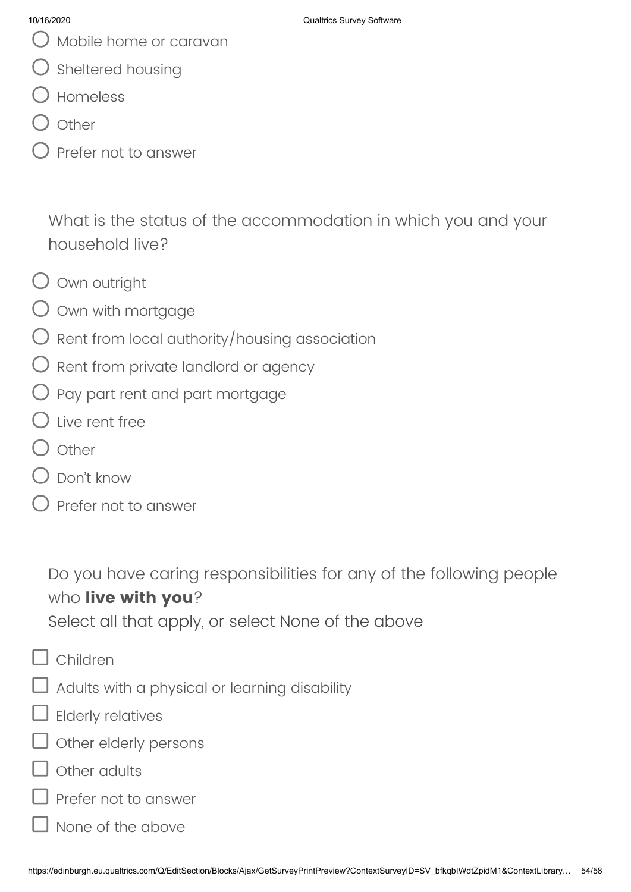- Mobile home or caravan
- ) Sheltered housing
- Homeless
- **Other**
- Prefer not to answer

What is the status of the accommodation in which you and your household live?

- O Own outright
- $\bigcirc$  own with mortgage
- $\bigcirc$  Rent from local authority/housing association
- $\bigcirc$  Rent from private landlord or agency
- $\bigcirc$  Pay part rent and part mortgage
- $\bigcirc$  Live rent free
- l Other
- Don't know
- Prefer not to answer

Do you have caring responsibilities for any of the following people who **live with you**?

Select all that apply, or select None of the above

- Children
- Adults with a physical or learning disability
- Elderly relatives
- Other elderly persons
- Other adults
- Prefer not to answer
	- None of the above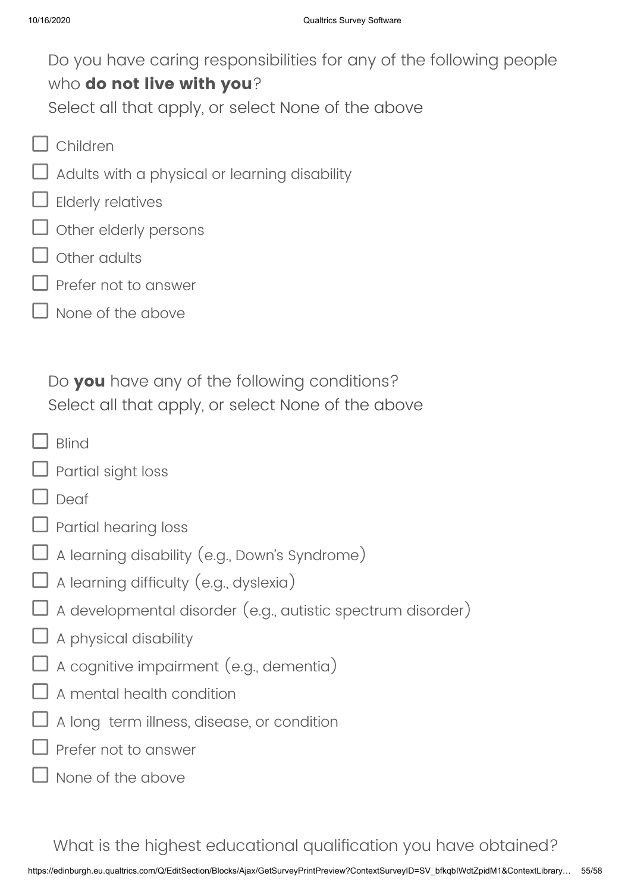Do you have caring responsibilities for any of the following people who **do not live with you**? Select all that apply, or select None of the above

- Children
	- Adults with a physical or learning disability
- Elderly relatives
- Other elderly persons
- Other adults
- Prefer not to answer
- None of the above

Do **you** have any of the following conditions? Select all that apply, or select None of the above

- Rlind
- Partial sight loss
- Deaf
- Partial hearing loss
- A learning disability (e.g., Down's Syndrome)
- $\Box$  A learning difficulty (e.g., dyslexia)
- A developmental disorder (e.g., autistic spectrum disorder)
- A physical disability
- A cognitive impairment (e.g., dementia)
- A mental health condition
- A long term illness, disease, or condition
- Prefer not to answer
- None of the above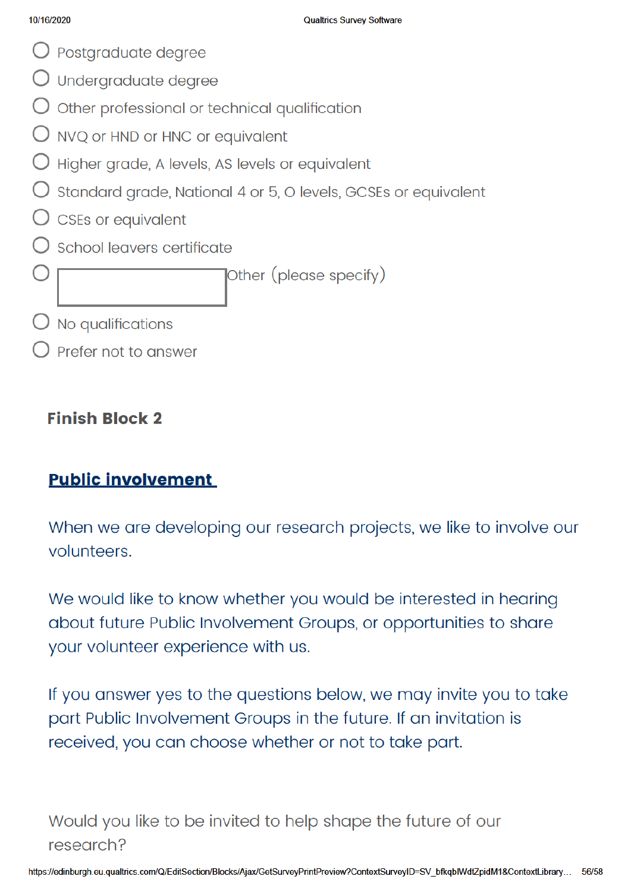- $\bigcirc$  Postgraduate degree
- $\bigcirc$  Undergraduate degree
- $\bigcirc$  Other professional or technical qualification
- $\bigcirc$  NVQ or HND or HNC or equivalent
- $\bigcirc$  Higher grade, A levels, AS levels or equivalent
- O standard grade, National 4 or 5, O levels, GCSEs or equivalent
- $\bigcirc$  CSEs or equivalent
- School leavers certificate

Other (please specify)

- 
- $\bigcirc$  No qualifications
- Prefer not to answer

## **Finish Block 2**

# **Public involvement**

When we are developing our research projects, we like to involve our volunteers.

We would like to know whether you would be interested in hearing about future Public Involvement Groups, or opportunities to share your volunteer experience with us.

If you answer yes to the questions below, we may invite you to take part Public Involvement Groups in the future. If an invitation is received, you can choose whether or not to take part.

# Would you like to be invited to help shape the future of our research?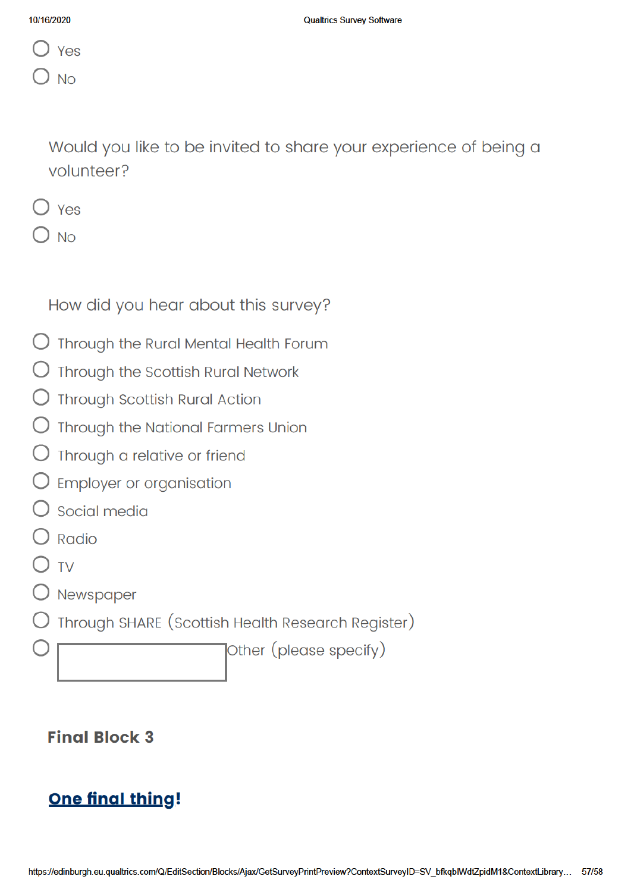| Yes |
|-----|
|     |

Would you like to be invited to share your experience of being a volunteer?

|--|--|

**No** 

How did you hear about this survey?

- $\bigcirc$  Through the Rural Mental Health Forum
- Through the Scottish Rural Network
- **Through Scottish Rural Action**
- Through the National Farmers Union
- Through a relative or friend
- $\bigcirc$  Employer or organisation
- $\overline{\phantom{a}}$  Social media
- $\sqrt{2}$  Radio
- **TV**
- $\bigcirc$  Newspaper
- Through SHARE (Scottish Health Research Register)

Other (please specify)

### **Final Block 3**

# **One final thing!**